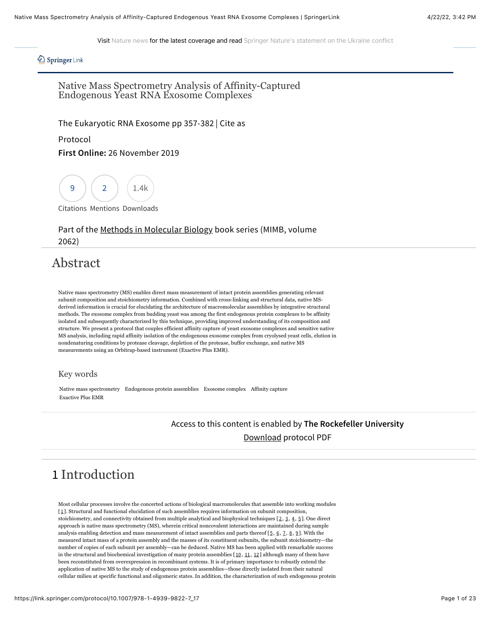Visit [Nature news](https://www.nature.com/news) for the latest coverage and read [Springer Nature's statement on the Ukraine conflict](https://www.springernature.com/gp/advancing-discovery/springboard/blog/blogposts-open-research/springer-nature-condemns-russian-invasion/20191448)

### *A* Springer Link

Native Mass Spectrometry Analysis of Affinity-Captured Endogenous Yeast RNA Exosome Complexes

[The Eukaryotic RNA Exosome](https://link.springer.com/book/10.1007/978-1-4939-9822-7) pp 357-382 | [Cite as](#page-21-0)

#### Protocol

### **First Online:** 26 November 2019



[Citations](https://citations.springer.com/item?doi=10.1007/978-1-4939-9822-7_17) [Mentions](https://www.altmetric.com/details.php?citation_id=71248704) Downloads

### Part of the [Methods in Molecular Biology](https://link.springer.com/bookseries/7651) book series (MIMB, volume 2062)

## Abstract

Native mass spectrometry (MS) enables direct mass measurement of intact protein assemblies generating relevant subunit composition and stoichiometry information. Combined with cross-linking and structural data, native MSderived information is crucial for elucidating the architecture of macromolecular assemblies by integrative structural methods. The exosome complex from budding yeast was among the first endogenous protein complexes to be affinity isolated and subsequently characterized by this technique, providing improved understanding of its composition and structure. We present a protocol that couples efficient affinity capture of yeast exosome complexes and sensitive native MS analysis, including rapid affinity isolation of the endogenous exosome complex from cryolysed yeast cells, elution in nondenaturing conditions by protease cleavage, depletion of the protease, buffer exchange, and native MS measurements using an Orbitrap-based instrument (Exactive Plus EMR).

#### Key words

Native mass spectrometry Endogenous protein assemblies Exosome complex Affinity capture Exactive Plus EMR

## Access to this content is enabled by **The Rockefeller University** [Download](https://link.springer.com/content/pdf/10.1007%2F978-1-4939-9822-7_17.pdf) protocol PDF

# 1 Introduction

Most cellular processes involve the concerted actions of biological macromolecules that assemble into working modules [[1](#page-16-0)]. Structural and functional elucidation of such assemblies requires information on subunit composition, stoichiometry, and connectivity obtained from multiple analytical and biophysical techniques [[2](#page-16-1), [3](#page-16-2), [4](#page-16-3), [5](#page-16-4)]. One direct approach is native mass spectrometry (MS), wherein critical noncovalent interactions are maintained during sample analysis enabling detection and mass measurement of intact assemblies and parts thereof  $[5, 6, 7, 8, 9]$  $[5, 6, 7, 8, 9]$  $[5, 6, 7, 8, 9]$  $[5, 6, 7, 8, 9]$  $[5, 6, 7, 8, 9]$  $[5, 6, 7, 8, 9]$  $[5, 6, 7, 8, 9]$  $[5, 6, 7, 8, 9]$  $[5, 6, 7, 8, 9]$  $[5, 6, 7, 8, 9]$  $[5, 6, 7, 8, 9]$ . With the measured intact mass of a protein assembly and the masses of its constituent subunits, the subunit stoichiometry—the number of copies of each subunit per assembly—can be deduced. Native MS has been applied with remarkable success in the structural and biochemical investigation of many protein assemblies [[10](#page-17-0), [11](#page-17-1), [12](#page-17-2)] although many of them have been reconstituted from overexpression in recombinant systems. It is of primary importance to robustly extend the application of native MS to the study of endogenous protein assemblies—those directly isolated from their natural cellular milieu at specific functional and oligomeric states. In addition, the characterization of such endogenous protein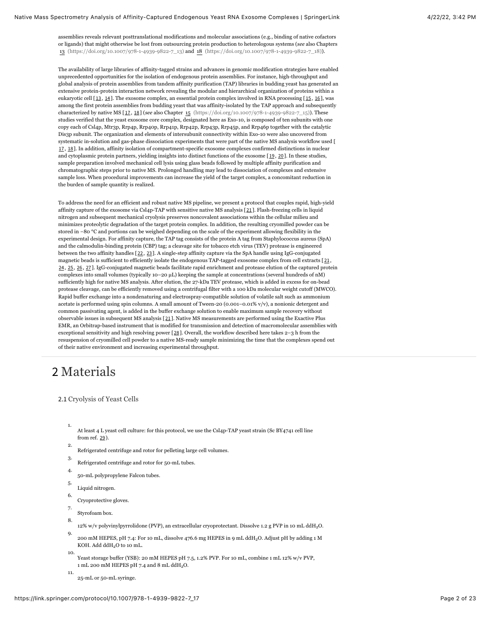assemblies reveals relevant posttranslational modifications and molecular associations (e.g., binding of native cofactors or ligands) that might otherwise be lost from outsourcing protein production to heterologous systems (*see* also Chapters [13 \(https://doi.org/10.1007/978-1-4939-9822-7\\_13\)](https://doi.org/10.1007/978-1-4939-9822-7_13) and [18 \(https://doi.org/10.1007/978-1-4939-9822-7\\_18\)](https://doi.org/10.1007/978-1-4939-9822-7_18)).

The availability of large libraries of affinity-tagged strains and advances in genomic modification strategies have enabled unprecedented opportunities for the isolation of endogenous protein assemblies. For instance, high-throughput and global analysis of protein assemblies from tandem affinity purification (TAP) libraries in budding yeast has generated an extensive protein-protein interaction network revealing the modular and hierarchical organization of proteins within a eukaryotic cell [[13](#page-17-3), [14](#page-17-4)]. The exosome complex, an essential protein complex involved in RNA processing [[15](#page-17-5), [16](#page-17-6)], was among the first protein assemblies from budding yeast that was affinity-isolated by the TAP approach and subsequently characterized by native MS [[17](#page-17-7), [18](#page-17-8)] (*see* also Chapter [15 \(https://doi.org/10.1007/978-1-4939-9822-7\\_15\)](https://doi.org/10.1007/978-1-4939-9822-7_15)). These studies verified that the yeast exosome core complex, designated here as Exo-10, is composed of ten subunits with one copy each of Csl4p, Mtr3p, Rrp4p, Rrp40p, Rrp41p, Rrp42p, Rrp43p, Rrp45p, and Rrp46p together with the catalytic Dis3p subunit. The organization and elements of intersubunit connectivity within Exo-10 were also uncovered from systematic in-solution and gas-phase dissociation experiments that were part of the native MS analysis workflow used [ [17](#page-17-7), [18](#page-17-8)]. In addition, affinity isolation of compartment-specific exosome complexes confirmed distinctions in nuclear and cytoplasmic protein partners, yielding insights into distinct functions of the exosome [[19](#page-17-9), [20](#page-18-0)]. In these studies, sample preparation involved mechanical cell lysis using glass beads followed by multiple affinity purification and chromatographic steps prior to native MS. Prolonged handling may lead to dissociation of complexes and extensive sample loss. When procedural improvements can increase the yield of the target complex, a concomitant reduction in the burden of sample quantity is realized.

To address the need for an efficient and robust native MS pipeline, we present a protocol that couples rapid, high-yield affinity capture of the exosome via Csl4p-TAP with sensitive native MS analysis [[21](#page-18-1)]. Flash-freezing cells in liquid nitrogen and subsequent mechanical cryolysis preserves noncovalent associations within the cellular milieu and minimizes proteolytic degradation of the target protein complex. In addition, the resulting cryomilled powder can be stored in −80 °C and portions can be weighed depending on the scale of the experiment allowing flexibility in the experimental design. For affinity capture, the TAP tag consists of the protein A tag from Staphylococcus aureus (SpA) and the calmodulin-binding protein (CBP) tag; a cleavage site for tobacco etch virus (TEV) protease is engineered between the two affinity handles [[22](#page-18-2), [23](#page-18-3)]. A single-step affinity capture via the SpA handle using IgG-conjugated magnetic beads is sufficient to efficiently isolate the endogenous TAP-tagged exosome complex from cell extracts [[21](#page-18-1), [24](#page-18-4), [25](#page-18-5), [26](#page-18-6), [27](#page-18-7)]. IgG-conjugated magnetic beads facilitate rapid enrichment and protease elution of the captured protein complexes into small volumes (typically 10–20 µL) keeping the sample at concentrations (several hundreds of nM) sufficiently high for native MS analysis. After elution, the 27-kDa TEV protease, which is added in excess for on-bead protease cleavage, can be efficiently removed using a centrifugal filter with a 100 kDa molecular weight cutoff (MWCO). Rapid buffer exchange into a nondenaturing and electrospray-compatible solution of volatile salt such as ammonium acetate is performed using spin columns. A small amount of Tween-20 (0.001–0.01% v/v), a nonionic detergent and common passivating agent, is added in the buffer exchange solution to enable maximum sample recovery without observable issues in subsequent MS analysis [[21](#page-18-1)]. Native MS measurements are performed using the Exactive Plus EMR, an Orbitrap-based instrument that is modified for transmission and detection of macromolecular assemblies with exceptional sensitivity and high resolving power [[28](#page-19-0)]. Overall, the workflow described here takes 2–3 h from the resuspension of cryomilled cell powder to a native MS-ready sample minimizing the time that the complexes spend out of their native environment and increasing experimental throughput.

## 2 Materials

#### 2.1 Cryolysis of Yeast Cells

1.

2.

At least 4 L yeast cell culture: for this protocol, we use the Csl4p-TAP yeast strain (Sc BY4741 cell line from ref. [29](#page-19-1)).

- Refrigerated centrifuge and rotor for pelleting large cell volumes.
- 3. Refrigerated centrifuge and rotor for 50-mL tubes.
- 4. 50-mL polypropylene Falcon tubes.
- 5. Liquid nitrogen.
- 6.
- Cryoprotective gloves.
- 7. Styrofoam box.
- 8. 12% w/v polyvinylpyrrolidone (PVP), an extracellular cryoprotectant. Dissolve 1.2 g PVP in 10 mL ddH<sub>2</sub>O.
- 9. 200 mM HEPES, pH 7.4: For 10 mL, dissolve 476.6 mg HEPES in 9 mL ddH<sub>2</sub>O. Adjust pH by adding 1 M KOH. Add ddH<sub>2</sub>O to 10 mL.
- 10. Yeast storage buffer (YSB): 20 mM HEPES pH 7.5, 1.2% PVP. For 10 mL, combine 1 mL 12% w/v PVP, 1 mL 200 mM HEPES pH 7.4 and 8 mL  $ddH_2O$ .
- 11. 25-mL or 50-mL syringe.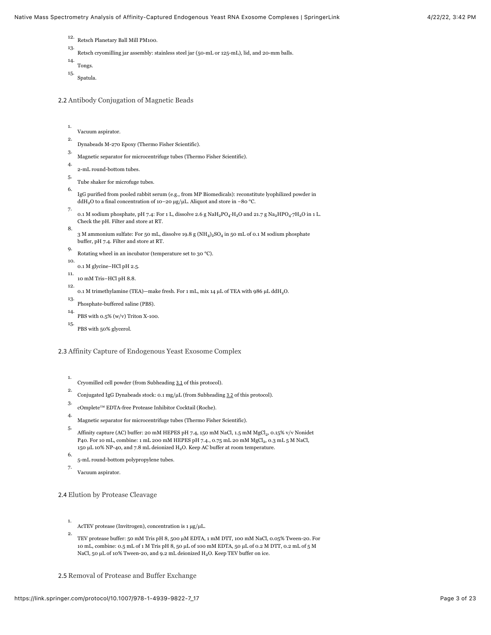- 12. Retsch Planetary Ball Mill PM100.
- 13. Retsch cryomilling jar assembly: stainless steel jar (50-mL or 125-mL), lid, and 20-mm balls.

```
14.
   Tongs.
```
15. Spatula.

2.2 Antibody Conjugation of Magnetic Beads

```
1.
2.
    Vacuum aspirator.
```
- Dynabeads M-270 Epoxy (Thermo Fisher Scientific).
- 3. Magnetic separator for microcentrifuge tubes (Thermo Fisher Scientific).
- 4. 2-mL round-bottom tubes.
- 5. Tube shaker for microfuge tubes.
- 6. IgG purified from pooled rabbit serum (e.g.*,* from MP Biomedicals): reconstitute lyophilized powder in ddH<sub>2</sub>O to a final concentration of 10−20 μg/μL. Aliquot and store in −80 °C.
- 7. 0.1 M sodium phosphate, pH 7.4: For 1 L, dissolve 2.6 g NaH<sub>2</sub>PO<sub>4</sub>·H<sub>2</sub>O and 21.7 g Na<sub>2</sub>HPO<sub>4</sub>·7H<sub>2</sub>O in 1 L. Check the pH. Filter and store at RT.
- 8. 3 M ammonium sulfate: For 50 mL, dissolve 19.8 g (NH<sub>4</sub>)<sub>2</sub>SO<sub>4</sub> in 50 mL of 0.1 M sodium phosphate buffer, pH 7.4. Filter and store at RT.
- 9. Rotating wheel in an incubator (temperature set to 30 °C).
- 10. 0.1 M glycine–HCl pH 2.5.
- 11. 10 mM Tris–HCl pH 8.8.
- 12. 0.1 M trimethylamine (TEA)—make fresh. For 1 mL, mix 14  $\mu$ L of TEA with 986  $\mu$ L ddH<sub>2</sub>O.
- 13. Phosphate-buffered saline (PBS).
- 14. PBS with 0.5% (w/v) Triton X-100.
- 15. PBS with 50% glycerol.

#### 2.3 Affinity Capture of Endogenous Yeast Exosome Complex

- 1. Cryomilled cell powder (from Subheading [3.1](#page-4-0) of this protocol).
- 2. Conjugated IgG Dynabeads stock: 0.1 mg/µL (from Subheading [3.2](#page-5-0) of this protocol).
- 3. cOmplete™ EDTA-free Protease Inhibitor Cocktail (Roche).
- 4. Magnetic separator for microcentrifuge tubes (Thermo Fisher Scientific).
- 5. Affinity capture (AC) buffer: 20 mM HEPES pH 7.4, 150 mM NaCl, 1.5 mM MgCl $_2$ , 0.15% v/v Nonidet P40. For 10 mL, combine: 1 mL 200 mM HEPES pH 7.4., 0.75 mL 20 mM MgCl $_2$ , 0.3 mL 5 M NaCl, 150  $\mu$ L 10% NP-40, and 7.8 mL deionized H<sub>2</sub>O. Keep AC buffer at room temperature.
- 6. 5-mL round-bottom polypropylene tubes.
- 7. Vacuum aspirator.

2.4 Elution by Protease Cleavage

- 1. AcTEV protease (Invitrogen), concentration is 1 µg/µL.
- 2. TEV protease buffer: 50 mM Tris pH 8, 500 µM EDTA, 1 mM DTT, 100 mM NaCl, 0.05% Tween-20. For 10 mL, combine: 0.5 mL of 1 M Tris pH 8, 50 µL of 100 mM EDTA, 50 µL of 0.2 M DTT, 0.2 mL of 5 M NaCl, 50  $\mu$ L of 10% Tween-20, and 9.2 mL deionized H<sub>2</sub>O. Keep TEV buffer on ice.

2.5 Removal of Protease and Buffer Exchange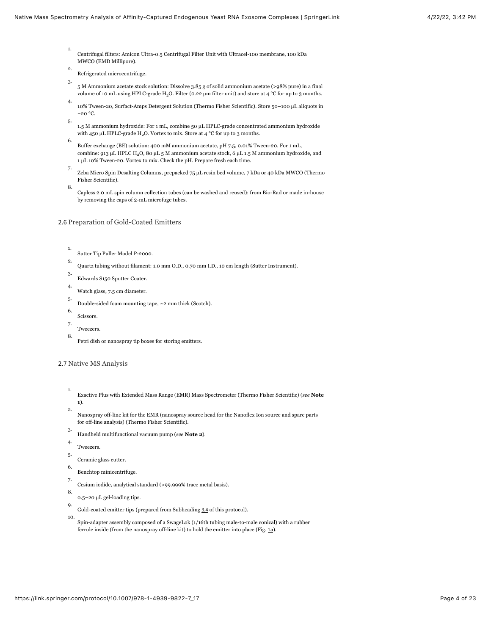- 1. Centrifugal filters: Amicon Ultra-0.5 Centrifugal Filter Unit with Ultracel-100 membrane, 100 kDa MWCO (EMD Millipore).
- 2. Refrigerated microcentrifuge.
- 3. 5 M Ammonium acetate stock solution: Dissolve 3.85 g of solid ammonium acetate (>98% pure) in a final volume of 10 mL using HPLC-grade H<sub>2</sub>O. Filter (0.22  $\mu$ m filter unit) and store at 4 °C for up to 3 months.
- 4. 10% Tween-20, Surfact-Amps Detergent Solution (Thermo Fisher Scientific). Store 50–100 µL aliquots in −20 °C.
- 5. 1.5 M ammonium hydroxide: For 1 mL, combine 50 µL HPLC-grade concentrated ammonium hydroxide with 450  $\mu$ L HPLC-grade H<sub>2</sub>O. Vortex to mix. Store at 4 °C for up to 3 months.
- 6. Buffer exchange (BE) solution: 400 mM ammonium acetate, pH 7.5, 0.01% Tween-20. For 1 mL, combine: 913 µL HPLC H<sub>2</sub>O, 80 µL 5 M ammonium acetate stock, 6 µL 1.5 M ammonium hydroxide, and 1 µL 10% Tween-20. Vortex to mix. Check the pH. Prepare fresh each time.
- 7. Zeba Micro Spin Desalting Columns, prepacked 75 µL resin bed volume, 7 kDa or 40 kDa MWCO (Thermo Fisher Scientific).
- Capless 2.0 mL spin column collection tubes (can be washed and reused): from Bio-Rad or made in-house by removing the caps of 2-mL microfuge tubes.
- 2.6 Preparation of Gold-Coated Emitters
	- 1. Sutter Tip Puller Model P-2000.
	- 2. Quartz tubing without filament: 1.0 mm O.D., 0.70 mm I.D., 10 cm length (Sutter Instrument).
	- 3. Edwards S150 Sputter Coater.
	- 4. Watch glass, 7.5 cm diameter.
	- 5. Double-sided foam mounting tape, ~2 mm thick (Scotch).
	- 6. Scissors.

8.

- 7. Tweezers.
- 8.
- Petri dish or nanospray tip boxes for storing emitters.

#### 2.7 Native MS Analysis

- 1. 2. Exactive Plus with Extended Mass Range (EMR) Mass Spectrometer (Thermo Fisher Scientific) (*see* **Note 1**).
- Nanospray off-line kit for the EMR (nanospray source head for the Nanoflex Ion source and spare parts for off-line analysis) (Thermo Fisher Scientific).
- 3. Handheld multifunctional vacuum pump (*see* **Note 2**).
- 4. Tweezers.
- 5. Ceramic glass cutter.
- 6. Benchtop minicentrifuge.
- 7. Cesium iodide, analytical standard (>99.999% trace metal basis).
- 8. 0.5–20 µL gel-loading tips.
- 9. Gold-coated emitter tips (prepared from Subheading [3.4](#page-8-0) of this protocol).
- 10. Spin-adapter assembly composed of a SwageLok (1/16th tubing male-to-male conical) with a rubber ferrule inside (from the nanospray off-line kit) to hold the emitter into place (Fig. [1a](#page-4-1)).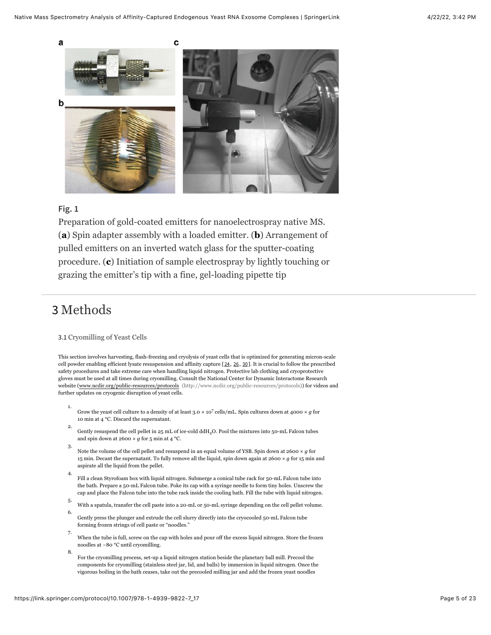<span id="page-4-1"></span>

### **Fig. 1**

Preparation of gold-coated emitters for nanoelectrospray native MS. (**a**) Spin adapter assembly with a loaded emitter. (**b**) Arrangement of pulled emitters on an inverted watch glass for the sputter-coating procedure. (**c**) Initiation of sample electrospray by lightly touching or grazing the emitter's tip with a fine, gel-loading pipette tip

## 3 Methods

2.

#### <span id="page-4-0"></span>3.1 Cryomilling of Yeast Cells

This section involves harvesting, flash-freezing and cryolysis of yeast cells that is optimized for generating micron-scale cell powder enabling efficient lysate resuspension and affinity capture [[24](#page-18-4), [26](#page-18-6), [30](#page-19-2)]. It is crucial to follow the prescribed safety procedures and take extreme care when handling liquid nitrogen. Protective lab clothing and cryoprotective gloves must be used at all times during cryomilling. Consult the National Center for Dynamic Interactome Research website ([www.ncdir.org/public-resources/protocols \(http://www.ncdir.org/public-resources/protocols\)\)](http://www.ncdir.org/public-resources/protocols) for videos and further updates on cryogenic disruption of yeast cells.

- 1. Grow the yeast cell culture to a density of at least  $3.0 \times 10^7$  cells/mL. Spin cultures down at 4000  $\times$  g for 10 min at 4 °C. Discard the supernatant.
- Gently resuspend the cell pellet in  $25 \text{ mL}$  of ice-cold ddH<sub>2</sub>O. Pool the mixtures into  $50$ -mL Falcon tubes and spin down at 2600  $\times$   $g$  for 5 min at 4 °C.
- 3. Note the volume of the cell pellet and resuspend in an equal volume of YSB. Spin down at 2600 × *g* for 15 min. Decant the supernatant. To fully remove all the liquid, spin down again at 2600  $\times$   $g$  for 15 min and aspirate all the liquid from the pellet.
- 4. Fill a clean Styrofoam box with liquid nitrogen. Submerge a conical tube rack for 50-mL Falcon tube into the bath. Prepare a 50-mL Falcon tube. Poke its cap with a syringe needle to form tiny holes. Unscrew the cap and place the Falcon tube into the tube rack inside the cooling bath. Fill the tube with liquid nitrogen.
- 5. With a spatula, transfer the cell paste into a 20-mL or 50-mL syringe depending on the cell pellet volume.
- 6. Gently press the plunger and extrude the cell slurry directly into the cryocooled 50-mL Falcon tube forming frozen strings of cell paste or "noodles."
- 7. When the tube is full, screw on the cap with holes and pour off the excess liquid nitrogen. Store the frozen noodles at −80 °C until cryomilling.
- 8. For the cryomilling process, set-up a liquid nitrogen station beside the planetary ball mill. Precool the components for cryomilling (stainless steel jar, lid, and balls) by immersion in liquid nitrogen. Once the vigorous boiling in the bath ceases, take out the precooled milling jar and add the frozen yeast noodles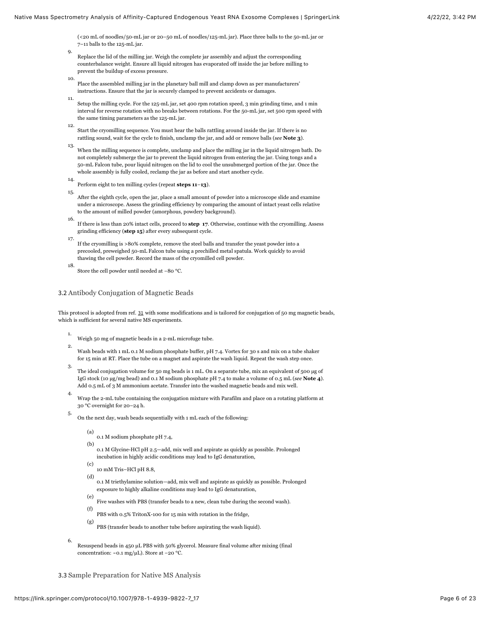(<20 mL of noodles/50-mL jar or 20–50 mL of noodles/125-mL jar). Place three balls to the 50-mL jar or 7–11 balls to the 125-mL jar.

- Replace the lid of the milling jar. Weigh the complete jar assembly and adjust the corresponding counterbalance weight. Ensure all liquid nitrogen has evaporated off inside the jar before milling to prevent the buildup of excess pressure.
- 10. Place the assembled milling jar in the planetary ball mill and clamp down as per manufacturers' instructions. Ensure that the jar is securely clamped to prevent accidents or damages.
- 11. Setup the milling cycle. For the 125-mL jar, set 400 rpm rotation speed, 3 min grinding time, and 1 min interval for reverse rotation with no breaks between rotations. For the 50-mL jar, set 500 rpm speed with the same timing parameters as the 125-mL jar.
- 12. Start the cryomilling sequence. You must hear the balls rattling around inside the jar. If there is no rattling sound, wait for the cycle to finish, unclamp the jar, and add or remove balls (*see* **Note 3**).
- 13. When the milling sequence is complete, unclamp and place the milling jar in the liquid nitrogen bath. Do not completely submerge the jar to prevent the liquid nitrogen from entering the jar. Using tongs and a 50-mL Falcon tube, pour liquid nitrogen on the lid to cool the unsubmerged portion of the jar. Once the whole assembly is fully cooled, reclamp the jar as before and start another cycle.
- 14. Perform eight to ten milling cycles (repeat **steps 11**–**13**).

9.

- 15. After the eighth cycle, open the jar, place a small amount of powder into a microscope slide and examine under a microscope. Assess the grinding efficiency by comparing the amount of intact yeast cells relative to the amount of milled powder (amorphous, powdery background).
- 16. If there is less than 20% intact cells, proceed to **step 17**. Otherwise, continue with the cryomilling. Assess grinding efficiency (**step 15**) after every subsequent cycle.
- 17. If the cryomilling is >80% complete, remove the steel balls and transfer the yeast powder into a precooled, preweighed 50-mL Falcon tube using a prechilled metal spatula. Work quickly to avoid thawing the cell powder. Record the mass of the cryomilled cell powder.
- 18. Store the cell powder until needed at −80 °C.

#### <span id="page-5-0"></span>3.2 Antibody Conjugation of Magnetic Beads

This protocol is adopted from ref. [31](#page-19-3) with some modifications and is tailored for conjugation of 50 mg magnetic beads, which is sufficient for several native MS experiments.

- 1. Weigh 50 mg of magnetic beads in a 2-mL microfuge tube.
- 2. Wash beads with 1 mL 0.1 M sodium phosphate buffer, pH 7.4. Vortex for 30 s and mix on a tube shaker for 15 min at RT. Place the tube on a magnet and aspirate the wash liquid. Repeat the wash step once.
- 3. The ideal conjugation volume for 50 mg beads is 1 mL. On a separate tube, mix an equivalent of 500 µg of IgG stock (10 µg/mg bead) and 0.1 M sodium phosphate pH 7.4 to make a volume of 0.5 mL (*see* **Note 4**). Add 0.5 mL of 3 M ammonium acetate. Transfer into the washed magnetic beads and mix well.
- 4. Wrap the 2-mL tube containing the conjugation mixture with Parafilm and place on a rotating platform at 30 °C overnight for 20–24 h.
- 5. On the next day, wash beads sequentially with 1 mL each of the following:
	- (a)
	- 0.1 M sodium phosphate pH 7.4,
	- (b) 0.1 M Glycine-HCl pH 2.5—add, mix well and aspirate as quickly as possible. Prolonged incubation in highly acidic conditions may lead to IgG denaturation,
	- (c) 10 mM Tris–HCl pH 8.8,
	- (d) 0.1 M triethylamine solution—add, mix well and aspirate as quickly as possible. Prolonged exposure to highly alkaline conditions may lead to IgG denaturation,
	- (e) Five washes with PBS (transfer beads to a new, clean tube during the second wash).
	- (f) PBS with 0.5% TritonX-100 for 15 min with rotation in the fridge,
	- (g) PBS (transfer beads to another tube before aspirating the wash liquid).
- 6. Resuspend beads in 450 µL PBS with 50% glycerol. Measure final volume after mixing (final concentration: ~0.1 mg/µL). Store at −20 °C.

3.3 Sample Preparation for Native MS Analysis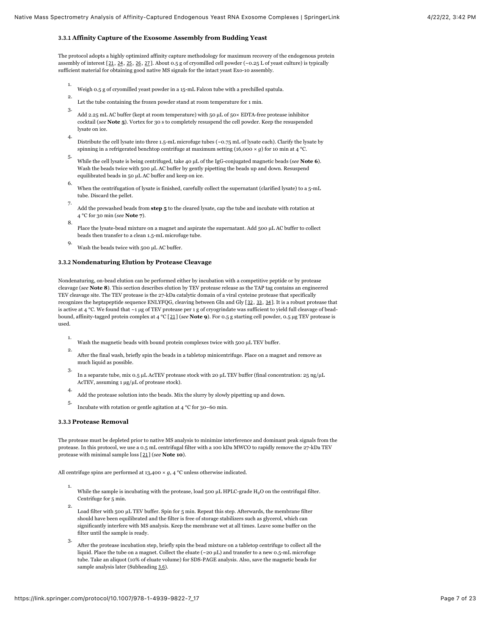#### **3.3.1 Affinity Capture of the Exosome Assembly from Budding Yeast**

The protocol adopts a highly optimized affinity capture methodology for maximum recovery of the endogenous protein assembly of interest  $[21, 24, 25, 26, 27]$  $[21, 24, 25, 26, 27]$  $[21, 24, 25, 26, 27]$  $[21, 24, 25, 26, 27]$  $[21, 24, 25, 26, 27]$  $[21, 24, 25, 26, 27]$  $[21, 24, 25, 26, 27]$  $[21, 24, 25, 26, 27]$  $[21, 24, 25, 26, 27]$  $[21, 24, 25, 26, 27]$  $[21, 24, 25, 26, 27]$ . About 0.5 g of cryomilled cell powder (~0.25 L of yeast culture) is typically sufficient material for obtaining good native MS signals for the intact yeast Exo-10 assembly.

- 1. Weigh 0.5 g of cryomilled yeast powder in a 15-mL Falcon tube with a prechilled spatula.
- 2. Let the tube containing the frozen powder stand at room temperature for 1 min.
- 3. Add 2.25 mL AC buffer (kept at room temperature) with 50 µL of 50× EDTA-free protease inhibitor cocktail (*see* **Note 5**). Vortex for 30 s to completely resuspend the cell powder. Keep the resuspended lysate on ice.
- 4. Distribute the cell lysate into three 1.5-mL microfuge tubes (~0.75 mL of lysate each). Clarify the lysate by spinning in a refrigerated benchtop centrifuge at maximum setting (16,000  $\times$  *g*) for 10 min at 4 °C.
- 5. While the cell lysate is being centrifuged, take 40 µL of the IgG-conjugated magnetic beads (*see* **Note 6**). Wash the beads twice with 500 µL AC buffer by gently pipetting the beads up and down. Resuspend equilibrated beads in 50 µL AC buffer and keep on ice.
- 6. When the centrifugation of lysate is finished, carefully collect the supernatant (clarified lysate) to a 5-mL tube. Discard the pellet.
- 7. Add the prewashed beads from **step 5** to the cleared lysate, cap the tube and incubate with rotation at 4 °C for 30 min (*see* **Note 7**).
- 8. Place the lysate-bead mixture on a magnet and aspirate the supernatant. Add 500 µL AC buffer to collect beads then transfer to a clean 1.5-mL microfuge tube.
- 9. Wash the beads twice with 500 µL AC buffer.

#### **3.3.2 Nondenaturing Elution by Protease Cleavage**

Nondenaturing, on-bead elution can be performed either by incubation with a competitive peptide or by protease cleavage (*see* **Note 8**). This section describes elution by TEV protease release as the TAP tag contains an engineered TEV cleavage site. The TEV protease is the 27-kDa catalytic domain of a viral cysteine protease that specifically recognizes the heptapeptide sequence ENLYFQG, cleaving between Gln and Gly [[32](#page-19-4), [33](#page-19-5), [34](#page-19-6)]. It is a robust protease that is active at 4 °C. We found that  $\sim$ 1 µg of TEV protease per 1 g of cryogrindate was sufficient to yield full cleavage of beadbound, affinity-tagged protein complex at 4 °C [[21](#page-18-1)] (*see* **Note 9**). For 0.5 g starting cell powder, 0.5 µg TEV protease is used.

- 1. Wash the magnetic beads with bound protein complexes twice with 500 µL TEV buffer.
- 2. After the final wash, briefly spin the beads in a tabletop minicentrifuge. Place on a magnet and remove as much liquid as possible.
- 3. In a separate tube, mix 0.5 µL AcTEV protease stock with 20 µL TEV buffer (final concentration: 25 ng/µL AcTEV, assuming 1 µg/µL of protease stock).
- 4. Add the protease solution into the beads. Mix the slurry by slowly pipetting up and down.
- 5. Incubate with rotation or gentle agitation at 4 °C for 30–60 min.

#### **3.3.3 Protease Removal**

The protease must be depleted prior to native MS analysis to minimize interference and dominant peak signals from the protease. In this protocol, we use a 0.5 mL centrifugal filter with a 100 kDa MWCO to rapidly remove the 27-kDa TEV protease with minimal sample loss [[21](#page-18-1)] (*see* **Note 10**).

All centrifuge spins are performed at 13,400  $\times$  *g*, 4 °C unless otherwise indicated.

- 1. While the sample is incubating with the protease, load 500  $\mu$ L HPLC-grade H<sub>2</sub>O on the centrifugal filter. Centrifuge for 5 min.
- 2. Load filter with 500 µL TEV buffer. Spin for 5 min. Repeat this step. Afterwards, the membrane filter should have been equilibrated and the filter is free of storage stabilizers such as glycerol, which can significantly interfere with MS analysis. Keep the membrane wet at all times. Leave some buffer on the filter until the sample is ready.
- 3. After the protease incubation step, briefly spin the bead mixture on a tabletop centrifuge to collect all the liquid. Place the tube on a magnet. Collect the eluate (~20 µL) and transfer to a new 0.5-mL microfuge tube. Take an aliquot (10% of eluate volume) for SDS-PAGE analysis. Also, save the magnetic beads for sample analysis later (Subheading [3.6](#page-13-0)).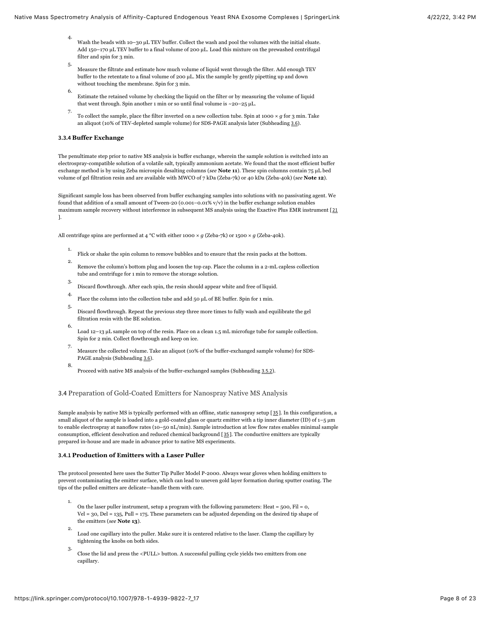- 4. Wash the beads with 10-30 µL TEV buffer. Collect the wash and pool the volumes with the initial eluate. Add 150–170 µL TEV buffer to a final volume of 200 µL. Load this mixture on the prewashed centrifugal filter and spin for 3 min.
- 5. Measure the filtrate and estimate how much volume of liquid went through the filter. Add enough TEV buffer to the retentate to a final volume of 200 µL. Mix the sample by gently pipetting up and down without touching the membrane. Spin for 3 min.
- 6. Estimate the retained volume by checking the liquid on the filter or by measuring the volume of liquid that went through. Spin another 1 min or so until final volume is  $\sim$  20–25 µL.
- 7. To collect the sample, place the filter inverted on a new collection tube. Spin at 1000 × *g* for 3 min. Take an aliquot (10% of TEV-depleted sample volume) for SDS-PAGE analysis later (Subheading [3.6](#page-13-0)).

#### **3.3.4 Buffer Exchange**

8.

The penultimate step prior to native MS analysis is buffer exchange, wherein the sample solution is switched into an electrospray-compatible solution of a volatile salt, typically ammonium acetate. We found that the most efficient buffer exchange method is by using Zeba microspin desalting columns (*see* **Note 11**). These spin columns contain 75 µL bed volume of gel filtration resin and are available with MWCO of 7 kDa (Zeba-7k) or 40 kDa (Zeba-40k) (*see* **Note 12**).

Significant sample loss has been observed from buffer exchanging samples into solutions with no passivating agent. We found that addition of a small amount of Tween-20 (0.001–0.01%  $v/v$ ) in the buffer exchange solution enables maximum sample recovery without interference in subsequent MS analysis using the Exactive Plus EMR instrument [[21](#page-18-1) ].

All centrifuge spins are performed at 4 °C with either 1000 × *g* (Zeba-7k) or 1500 × *g* (Zeba-40k).

- 1. Flick or shake the spin column to remove bubbles and to ensure that the resin packs at the bottom.
- 2. Remove the column's bottom plug and loosen the top cap. Place the column in a 2-mL capless collection tube and centrifuge for 1 min to remove the storage solution.
- 3. Discard flowthrough. After each spin, the resin should appear white and free of liquid.
- 4. Place the column into the collection tube and add 50 µL of BE buffer. Spin for 1 min.
- 5. Discard flowthrough. Repeat the previous step three more times to fully wash and equilibrate the gel filtration resin with the BE solution.
- 6. Load 12–13 µL sample on top of the resin. Place on a clean 1.5 mL microfuge tube for sample collection. Spin for 2 min. Collect flowthrough and keep on ice.
- 7. Measure the collected volume. Take an aliquot (10% of the buffer-exchanged sample volume) for SDS-PAGE analysis (Subheading [3.6](#page-13-0)).
- Proceed with native MS analysis of the buffer-exchanged samples (Subheading [3.5.2](#page-10-0)).

3.4 Preparation of Gold-Coated Emitters for Nanospray Native MS Analysis

Sample analysis by native MS is typically performed with an offline, static nanospray setup [[35](#page-19-7)]. In this configuration, a small aliquot of the sample is loaded into a gold-coated glass or quartz emitter with a tip inner diameter (ID) of  $1-5 \mu m$ to enable electrospray at nanoflow rates (10–50 nL/min). Sample introduction at low flow rates enables minimal sample consumption, efficient desolvation and reduced chemical background [[35](#page-19-7)]. The conductive emitters are typically prepared in-house and are made in advance prior to native MS experiments.

#### **3.4.1 Production of Emitters with a Laser Puller**

The protocol presented here uses the Sutter Tip Puller Model P-2000. Always wear gloves when holding emitters to prevent contaminating the emitter surface, which can lead to uneven gold layer formation during sputter coating. The tips of the pulled emitters are delicate—handle them with care.

- 1. On the laser puller instrument, setup a program with the following parameters: Heat = 500, Fil = 0, Vel = 30, Del = 135, Pull = 175. These parameters can be adjusted depending on the desired tip shape of the emitters (*see* **Note 13**).
- 2. Load one capillary into the puller. Make sure it is centered relative to the laser. Clamp the capillary by tightening the knobs on both sides.
- 3. Close the lid and press the  $<\!\!PULL\!\!>$  button. A successful pulling cycle yields two emitters from one capillary.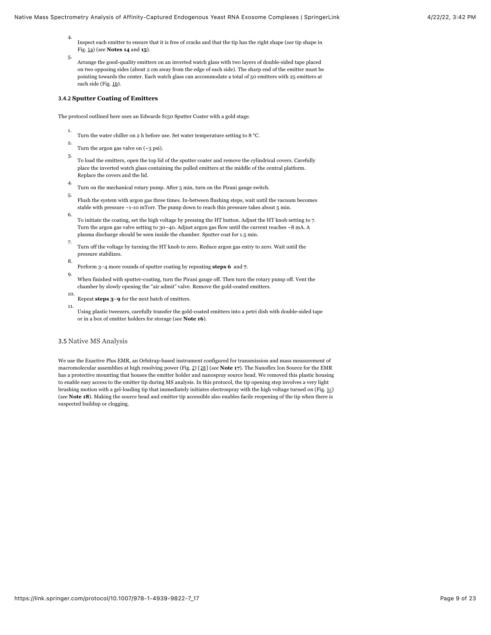- 4. Inspect each emitter to ensure that it is free of cracks and that the tip has the right shape (*see* tip shape in Fig. [1a](#page-4-1)) (*see* **Notes 14** and **15**).
- 5. Arrange the good-quality emitters on an inverted watch glass with two layers of double-sided tape placed on two opposing sides (about 2 cm away from the edge of each side). The sharp end of the emitter must be pointing towards the center. Each watch glass can accommodate a total of 50 emitters with 25 emitters at each side (Fig. [1b](#page-4-1)).

#### **3.4.2 Sputter Coating of Emitters**

The protocol outlined here uses an Edwards S150 Sputter Coater with a gold stage.

- 1. Turn the water chiller on 2 h before use. Set water temperature setting to 8 °C.
- 2. Turn the argon gas valve on  $(-3 \text{ psi})$ .
- 3. To load the emitters, open the top lid of the sputter coater and remove the cylindrical covers. Carefully place the inverted watch glass containing the pulled emitters at the middle of the central platform. Replace the covers and the lid.
- 4. Turn on the mechanical rotary pump. After 5 min, turn on the Pirani gauge switch.
- 5. Flush the system with argon gas three times. In-between flushing steps, wait until the vacuum becomes stable with pressure ~1-10 mTorr. The pump down to reach this pressure takes about 5 min.
- 6. To initiate the coating, set the high voltage by pressing the HT button. Adjust the HT knob setting to 7. Turn the argon gas valve setting to 30–40. Adjust argon gas flow until the current reaches ~8 mA. A plasma discharge should be seen inside the chamber. Sputter coat for 1.5 min.
- 7. Turn off the voltage by turning the HT knob to zero. Reduce argon gas entry to zero. Wait until the pressure stabilizes.
- 8.
- Perform 3–4 more rounds of sputter coating by repeating **steps 6** and **7**.
- 9. When finished with sputter-coating, turn the Pirani gauge off. Then turn the rotary pump off. Vent the chamber by slowly opening the "air admit" valve. Remove the gold-coated emitters.
- 10. Repeat **steps 3**–**9** for the next batch of emitters.
- 11. Using plastic tweezers, carefully transfer the gold-coated emitters into a petri dish with double-sided tape or in a box of emitter holders for storage (*see* **Note 16**).

#### <span id="page-8-0"></span>3.5 Native MS Analysis

We use the Exactive Plus EMR, an Orbitrap-based instrument configured for transmission and mass measurement of macromolecular assemblies at high resolving power (Fig. [2](#page-9-0)) [[28](#page-19-0)] (*see* **Note 17**). The Nanoflex Ion Source for the EMR has a protective mounting that houses the emitter holder and nanospray source head. We removed this plastic housing to enable easy access to the emitter tip during MS analysis. In this protocol, the tip opening step involves a very light brushing motion with a gel-loading tip that immediately initiates electrospray with the high voltage turned on (Fig.  $1c$ ) (*see* **Note 18**). Making the source head and emitter tip accessible also enables facile reopening of the tip when there is suspected buildup or clogging.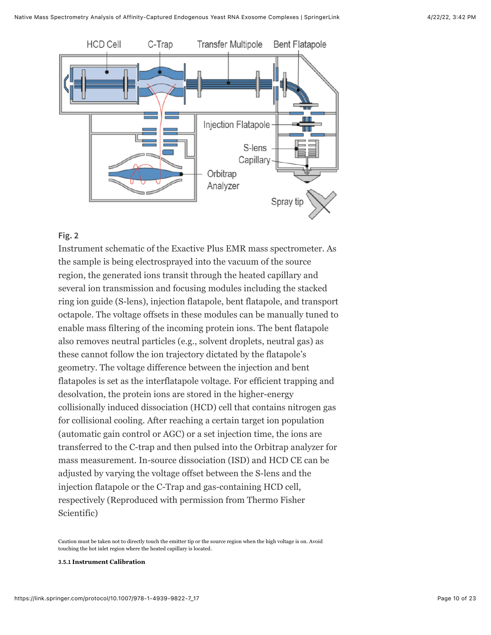<span id="page-9-0"></span>

### **Fig. 2**

Instrument schematic of the Exactive Plus EMR mass spectrometer. As the sample is being electrosprayed into the vacuum of the source region, the generated ions transit through the heated capillary and several ion transmission and focusing modules including the stacked ring ion guide (S-lens), injection flatapole, bent flatapole, and transport octapole. The voltage offsets in these modules can be manually tuned to enable mass filtering of the incoming protein ions. The bent flatapole also removes neutral particles (e.g., solvent droplets, neutral gas) as these cannot follow the ion trajectory dictated by the flatapole's geometry. The voltage difference between the injection and bent flatapoles is set as the interflatapole voltage. For efficient trapping and desolvation, the protein ions are stored in the higher-energy collisionally induced dissociation (HCD) cell that contains nitrogen gas for collisional cooling. After reaching a certain target ion population (automatic gain control or AGC) or a set injection time, the ions are transferred to the C-trap and then pulsed into the Orbitrap analyzer for mass measurement. In-source dissociation (ISD) and HCD CE can be adjusted by varying the voltage offset between the S-lens and the injection flatapole or the C-Trap and gas-containing HCD cell, respectively (Reproduced with permission from Thermo Fisher Scientific)

Caution must be taken not to directly touch the emitter tip or the source region when the high voltage is on. Avoid touching the hot inlet region where the heated capillary is located.

#### **3.5.1 Instrument Calibration**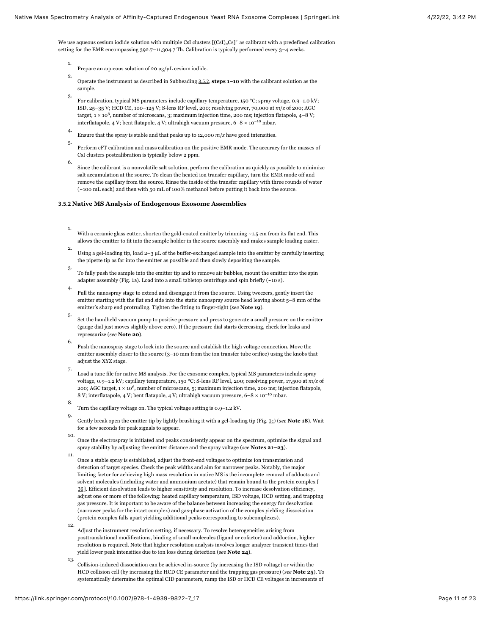We use aqueous cesium iodide solution with multiple CsI clusters [(CsI)<sub>n</sub>Cs]<sup>+</sup> as calibrant with a predefined calibration setting for the EMR encompassing 392.7–11,304.7 Th. Calibration is typically performed every 3–4 weeks.

- 1. Prepare an aqueous solution of 20 µg/µL cesium iodide.
- 2. Operate the instrument as described in Subheading [3.5.2](#page-10-0), **steps 1**–**10** with the calibrant solution as the sample.
- 3. For calibration, typical MS parameters include capillary temperature, 150 °C; spray voltage, 0.9–1.0 kV; ISD, 25–35 V; HCD CE, 100–125 V; S-lens RF level, 200; resolving power, 70,000 at *m*/*z* of 200; AGC target,  $1 \times 10^6$ , number of microscans, 3; maximum injection time, 200 ms; injection flatapole,  $4-8$  V; interflatapole, 4 V; bent flatapole, 4 V; ultrahigh vacuum pressure,  $6-8 \times 10^{-10}$  mbar.
- 4. Ensure that the spray is stable and that peaks up to 12,000 *m*/*z* have good intensities.
- 5. Perform eFT calibration and mass calibration on the positive EMR mode. The accuracy for the masses of CsI clusters postcalibration is typically below 2 ppm.
- 6. Since the calibrant is a nonvolatile salt solution, perform the calibration as quickly as possible to minimize salt accumulation at the source. To clean the heated ion transfer capillary, turn the EMR mode off and remove the capillary from the source. Rinse the inside of the transfer capillary with three rounds of water (~100 mL each) and then with 50 mL of 100% methanol before putting it back into the source.

#### <span id="page-10-0"></span>**3.5.2 Native MS Analysis of Endogenous Exosome Assemblies**

- 1. With a ceramic glass cutter, shorten the gold-coated emitter by trimming  $\sim$  1.5 cm from its flat end. This allows the emitter to fit into the sample holder in the source assembly and makes sample loading easier.
- 2. Using a gel-loading tip, load  $2-3$  µL of the buffer-exchanged sample into the emitter by carefully inserting the pipette tip as far into the emitter as possible and then slowly depositing the sample.
- 3. To fully push the sample into the emitter tip and to remove air bubbles, mount the emitter into the spin adapter assembly (Fig. [1a](#page-4-1)). Load into a small tabletop centrifuge and spin briefly (~10 s).
- 4. Pull the nanospray stage to extend and disengage it from the source. Using tweezers, gently insert the emitter starting with the flat end side into the static nanospray source head leaving about 5–8 mm of the emitter's sharp end protruding. Tighten the fitting to finger-tight (*see* **Note 19**).
- 5. Set the handheld vacuum pump to positive pressure and press to generate a small pressure on the emitter (gauge dial just moves slightly above zero). If the pressure dial starts decreasing, check for leaks and repressurize (*see* **Note 20**).
- 6. Push the nanospray stage to lock into the source and establish the high voltage connection. Move the emitter assembly closer to the source (3–10 mm from the ion transfer tube orifice) using the knobs that adjust the XYZ stage.
- 7. Load a tune file for native MS analysis. For the exosome complex, typical MS parameters include spray voltage, 0.9–1.2 kV; capillary temperature, 150 °C; S-lens RF level, 200; resolving power, 17,500 at *m/z* of 200; AGC target,  $1 \times 10^6$ , number of microscans, 5; maximum injection time, 200 ms; injection flatapole, 8 V; interflatapole, 4 V; bent flatapole, 4 V; ultrahigh vacuum pressure,  $6-8 \times 10^{-10}$  mbar.
- 8. Turn the capillary voltage on. The typical voltage setting is 0.9–1.2 kV.
- 9. Gently break open the emitter tip by lightly brushing it with a gel-loading tip (Fig. [1c](#page-4-1)) (*see* **Note 18**). Wait for a few seconds for peak signals to appear.
- 10. Once the electrospray is initiated and peaks consistently appear on the spectrum, optimize the signal and spray stability by adjusting the emitter distance and the spray voltage (*see* **Notes 21–23**).
- 11. Once a stable spray is established, adjust the front-end voltages to optimize ion transmission and detection of target species. Check the peak widths and aim for narrower peaks. Notably, the major limiting factor for achieving high mass resolution in native MS is the incomplete removal of adducts and solvent molecules (including water and ammonium acetate) that remain bound to the protein complex [ [36](#page-19-8)]. Efficient desolvation leads to higher sensitivity and resolution. To increase desolvation efficiency, adjust one or more of the following: heated capillary temperature, ISD voltage, HCD setting, and trapping gas pressure. It is important to be aware of the balance between increasing the energy for desolvation (narrower peaks for the intact complex) and gas-phase activation of the complex yielding dissociation (protein complex falls apart yielding additional peaks corresponding to subcomplexes).
- 12. Adjust the instrument resolution setting, if necessary. To resolve heterogeneities arising from posttranslational modifications, binding of small molecules (ligand or cofactor) and adduction, higher resolution is required. Note that higher resolution analysis involves longer analyzer transient times that yield lower peak intensities due to ion loss during detection (*see* **Note 24**).
- 13. Collision-induced dissociation can be achieved in-source (by increasing the ISD voltage) or within the HCD collision cell (by increasing the HCD CE parameter and the trapping gas pressure) (*see* **Note 25**). To systematically determine the optimal CID parameters, ramp the ISD or HCD CE voltages in increments of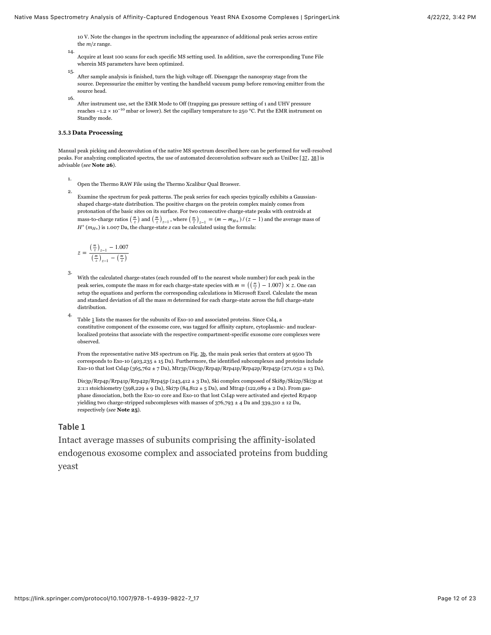10 V. Note the changes in the spectrum including the appearance of additional peak series across entire the *m*/*z* range.

- 14. Acquire at least 100 scans for each specific MS setting used. In addition, save the corresponding Tune File wherein MS parameters have been optimized.
- 15. After sample analysis is finished, turn the high voltage off. Disengage the nanospray stage from the source. Depressurize the emitter by venting the handheld vacuum pump before removing emitter from the source head.
- 16. After instrument use, set the EMR Mode to Off (trapping gas pressure setting of 1 and UHV pressure reaches ~1.2 × 10<sup>-10</sup> mbar or lower). Set the capillary temperature to 250 °C. Put the EMR instrument on Standby mode.

#### **3.5.3 Data Processing**

Manual peak picking and deconvolution of the native MS spectrum described here can be performed for well-resolved peaks. For analyzing complicated spectra, the use of automated deconvolution software such as UniDec [[37](#page-19-9), [38](#page-20-0)] is advisable (*see* **Note 26**).

1. Open the Thermo RAW File using the Thermo Xcalibur Qual Broswer.

2. Examine the spectrum for peak patterns. The peak series for each species typically exhibits a Gaussianshaped charge-state distribution. The positive charges on the protein complex mainly comes from protonation of the basic sites on its surface. For two consecutive charge-state peaks with centroids at mass-to-charge ratios  $\left(\frac{m}{z}\right)$  and  $\left(\frac{m}{z}\right)_{z-1}$ , where  $\left(\frac{m}{z}\right)_{z-1} = (m - m_{H+})/(z - 1)$  and the average mass of  $H^+$  ( $m_{H+}$ ) is 1.007 Da, the charge-state *z* can be calculated using the formula:

$$
z = \frac{\left(\frac{m}{z}\right)_{z-1} - 1.007}{\left(\frac{m}{z}\right)_{z-1} - \left(\frac{m}{z}\right)}
$$

3. With the calculated charge-states (each rounded off to the nearest whole number) for each peak in the peak series, compute the mass *m* for each charge-state species with  $m = \left(\frac{m}{z}\right) - 1.007 \times z$ . One can setup the equations and perform the corresponding calculations in Microsoft Excel. Calculate the mean setup the equations and perform the corresponding calculations in Microsoft Excel. Calculate the mean and standard deviation of all the mass *m* determined for each charge-state across the full charge-state distribution.

Table [1](#page-11-0) lists the masses for the subunits of Exo-10 and associated proteins. Since Csl4, a constitutive component of the exosome core, was tagged for affinity capture, cytoplasmic- and nuclearlocalized proteins that associate with the respective compartment-specific exosome core complexes were observed.

From the representative native MS spectrum on Fig. [3b](#page-13-1), the main peak series that centers at 9500 Th corresponds to Exo-10 (403,235 ± 15 Da). Furthermore, the identified subcomplexes and proteins include Exo-10 that lost Csl4p (365,762 ± 7 Da), Mtr3p/Dis3p/Rrp4p/Rrp41p/Rrp42p/Rrp45p (271,032 ± 13 Da),

Dis3p/Rrp4p/Rrp41p/Rrp42p/Rrp45p (243,412 ± 3 Da), Ski complex composed of Ski8p/Ski2p/Ski3p at 2:1:1 stoichiometry (398,229 ± 9 Da), Ski7p (84,812 ± 5 Da), and Mtr4p (122,089 ± 2 Da). From gasphase dissociation, both the Exo-10 core and Exo-10 that lost CsI4p were activated and ejected Rrp40p yielding two charge-stripped subcomplexes with masses of  $376,793 \pm 4$  Da and  $339,310 \pm 12$  Da, respectively (*see* **Note 25**).

#### <span id="page-11-0"></span>**Table 1**

4.

Intact average masses of subunits comprising the affinity-isolated endogenous exosome complex and associated proteins from budding yeast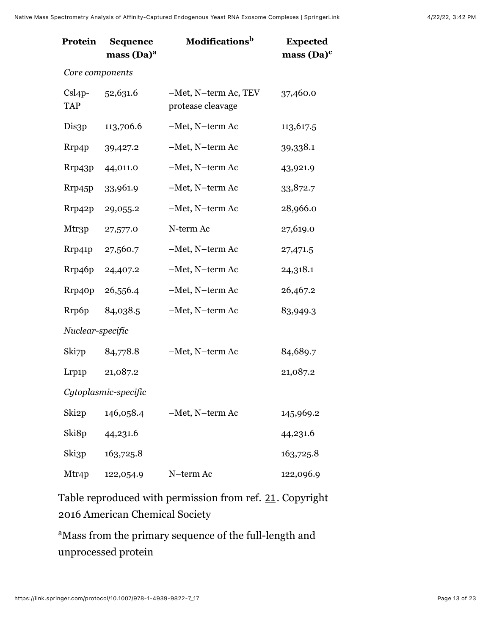| Protein                | <b>Sequence</b><br>mass (Da) <sup>a</sup> | Modifications <sup>b</sup>                | <b>Expected</b><br>$mass (Da)^c$ |
|------------------------|-------------------------------------------|-------------------------------------------|----------------------------------|
| Core components        |                                           |                                           |                                  |
| $Csl4p-$<br><b>TAP</b> | 52,631.6                                  | -Met, N-term Ac, TEV<br>protease cleavage | 37,460.0                         |
| Dis3p                  | 113,706.6                                 | -Met, N-term Ac                           | 113,617.5                        |
| Rrp4p                  | 39,427.2                                  | -Met, N-term Ac                           | 39,338.1                         |
| Rrp43p                 | 44,011.0                                  | -Met, N-term Ac                           | 43,921.9                         |
| Rrp45p                 | 33,961.9                                  | -Met, N-term Ac                           | 33,872.7                         |
| Rrp42p                 | 29,055.2                                  | -Met, N-term Ac                           | 28,966.0                         |
| Mtr3p                  | 27,577.0                                  | N-term Ac                                 | 27,619.0                         |
| Rrp41p                 | 27,560.7                                  | -Met, N-term Ac                           | 27,471.5                         |
| Rrp46p                 | 24,407.2                                  | -Met, N-term Ac                           | 24,318.1                         |
| Rrp40p                 | 26,556.4                                  | -Met, N-term Ac                           | 26,467.2                         |
| Rrp6p                  | 84,038.5                                  | -Met, N-term Ac                           | 83,949.3                         |
| Nuclear-specific       |                                           |                                           |                                  |
| Ski7p                  | 84,778.8                                  | -Met, N-term Ac                           | 84,689.7                         |
| Lrp1p                  | 21,087.2                                  |                                           | 21,087.2                         |
|                        | Cytoplasmic-specific                      |                                           |                                  |
| Ski <sub>2</sub> p     | 146,058.4                                 | -Met, N-term Ac                           | 145,969.2                        |
| Ski8p                  | 44,231.6                                  |                                           | 44,231.6                         |
| Ski3p                  | 163,725.8                                 |                                           | 163,725.8                        |
| Mtr4p                  | 122,054.9                                 | N-term Ac                                 | 122,096.9                        |

Table reproduced with permission from ref. [21](#page-18-1). Copyright 2016 American Chemical Society

<sup>a</sup>Mass from the primary sequence of the full-length and unprocessed protein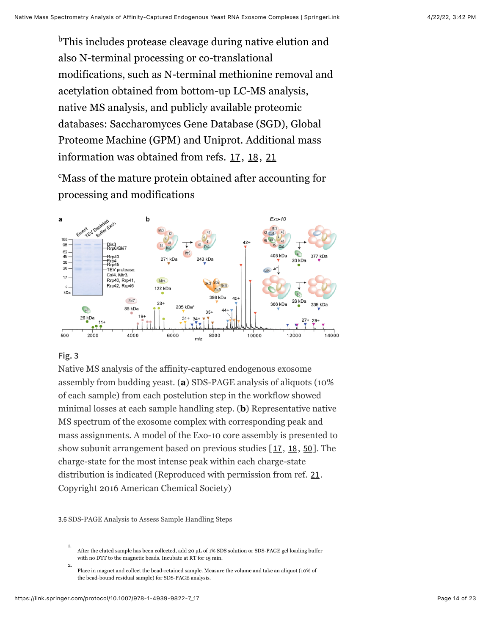<sup>b</sup>This includes protease cleavage during native elution and also N-terminal processing or co-translational modifications, such as N-terminal methionine removal and acetylation obtained from bottom-up LC-MS analysis, native MS analysis, and publicly available proteomic databases: Saccharomyces Gene Database (SGD), Global Proteome Machine (GPM) and Uniprot. Additional mass information was obtained from refs. [17](#page-17-7), [18](#page-17-8), [21](#page-18-1)

<sup>c</sup>Mass of the mature protein obtained after accounting for processing and modifications

<span id="page-13-1"></span>

### **Fig. 3**

Native MS analysis of the affinity-captured endogenous exosome assembly from budding yeast. (**a**) SDS-PAGE analysis of aliquots (10% of each sample) from each postelution step in the workflow showed minimal losses at each sample handling step. (**b**) Representative native MS spectrum of the exosome complex with corresponding peak and mass assignments. A model of the Exo-10 core assembly is presented to show subunit arrangement based on previous studies  $[17, 18, 50]$  $[17, 18, 50]$  $[17, 18, 50]$  $[17, 18, 50]$  $[17, 18, 50]$  $[17, 18, 50]$  $[17, 18, 50]$ . The charge-state for the most intense peak within each charge-state distribution is indicated (Reproduced with permission from ref. [21](#page-18-1). Copyright 2016 American Chemical Society)

<span id="page-13-0"></span>3.6 SDS-PAGE Analysis to Assess Sample Handling Steps

1. After the eluted sample has been collected, add 20 µL of 1% SDS solution or SDS-PAGE gel loading buffer with no DTT to the magnetic beads. Incubate at RT for 15 min.

2. Place in magnet and collect the bead-retained sample. Measure the volume and take an aliquot (10% of the bead-bound residual sample) for SDS-PAGE analysis.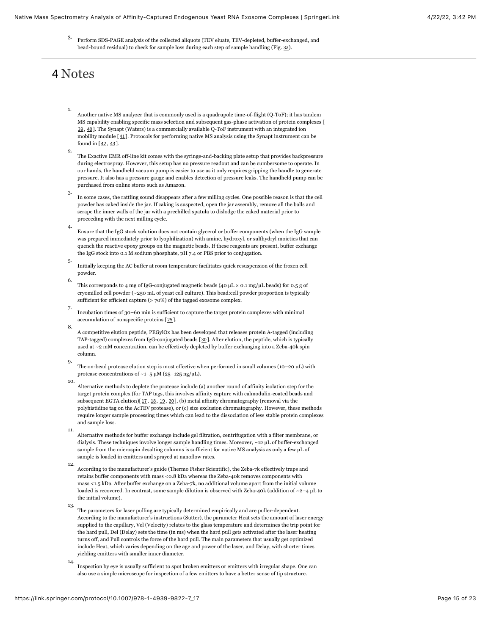3. Perform SDS-PAGE analysis of the collected aliquots (TEV eluate, TEV-depleted, buffer-exchanged, and bead-bound residual) to check for sample loss during each step of sample handling (Fig. [3a](#page-13-1)).

## 4 Notes

- 1. Another native MS analyzer that is commonly used is a quadrupole time-of-flight (Q-ToF); it has tandem MS capability enabling specific mass selection and subsequent gas-phase activation of protein complexes [ [39](#page-20-1), [40](#page-20-2)]. The Synapt (Waters) is a commercially available Q-ToF instrument with an integrated ion mobility module [[41](#page-20-3)]. Protocols for performing native MS analysis using the Synapt instrument can be found in [[42](#page-20-4), [43](#page-20-5)].
- 2. The Exactive EMR off-line kit comes with the syringe-and-backing plate setup that provides backpressure during electrospray. However, this setup has no pressure readout and can be cumbersome to operate. In our hands, the handheld vacuum pump is easier to use as it only requires gripping the handle to generate pressure. It also has a pressure gauge and enables detection of pressure leaks. The handheld pump can be purchased from online stores such as Amazon.
- 3. In some cases, the rattling sound disappears after a few milling cycles. One possible reason is that the cell powder has caked inside the jar. If caking is suspected, open the jar assembly, remove all the balls and scrape the inner walls of the jar with a prechilled spatula to dislodge the caked material prior to proceeding with the next milling cycle.
- 4. Ensure that the IgG stock solution does not contain glycerol or buffer components (when the IgG sample was prepared immediately prior to lyophilization) with amine, hydroxyl, or sulfhydryl moieties that can quench the reactive epoxy groups on the magnetic beads. If these reagents are present, buffer exchange the IgG stock into 0.1 M sodium phosphate, pH 7.4 or PBS prior to conjugation.
- 5. Initially keeping the AC buffer at room temperature facilitates quick resuspension of the frozen cell powder.
- 6. This corresponds to 4 mg of IgG-conjugated magnetic beads (40  $\mu$ L × 0.1 mg/ $\mu$ L beads) for 0.5 g of cryomilled cell powder (~250 mL of yeast cell culture). This bead:cell powder proportion is typically sufficient for efficient capture (> 70%) of the tagged exosome complex.
- 7. Incubation times of 30–60 min is sufficient to capture the target protein complexes with minimal accumulation of nonspecific proteins [[25](#page-18-5)].
- 8. A competitive elution peptide, PEGylOx has been developed that releases protein A-tagged (including TAP-tagged) complexes from IgG-conjugated beads [[30](#page-19-2)]. After elution, the peptide, which is typically used at ~2 mM concentration, can be effectively depleted by buffer exchanging into a Zeba-40k spin column.
- 9. The on-bead protease elution step is most effective when performed in small volumes (10–20 µL) with protease concentrations of  $~1$ –5 µM (25–125 ng/µL).
- 10. Alternative methods to deplete the protease include (a) another round of affinity isolation step for the target protein complex (for TAP tags, this involves affinity capture with calmodulin-coated beads and subsequent EGTA elution)[[17](#page-17-7), [18](#page-17-8), [19](#page-17-9), [20](#page-18-0)], (b) metal affinity chromatography (removal via the polyhistidine tag on the AcTEV protease), or (c) size exclusion chromatography. However, these methods require longer sample processing times which can lead to the dissociation of less stable protein complexes and sample loss.
- Alternative methods for buffer exchange include gel filtration, centrifugation with a filter membrane, or dialysis. These techniques involve longer sample handling times. Moreover, ~12 µL of buffer-exchanged sample from the microspin desalting columns is sufficient for native MS analysis as only a few µL of sample is loaded in emitters and sprayed at nanoflow rates.
- 12. According to the manufacturer's guide (Thermo Fisher Scientific), the Zeba-7k effectively traps and retains buffer components with mass <0.8 kDa whereas the Zeba-40k removes components with mass <1.5 kDa. After buffer exchange on a Zeba-7k, no additional volume apart from the initial volume loaded is recovered. In contrast, some sample dilution is observed with Zeba-40k (addition of ~2–4 µL to the initial volume).
- 13. The parameters for laser pulling are typically determined empirically and are puller-dependent. According to the manufacturer's instructions (Sutter), the parameter Heat sets the amount of laser energy supplied to the capillary, Vel (Velocity) relates to the glass temperature and determines the trip point for the hard pull, Del (Delay) sets the time (in ms) when the hard pull gets activated after the laser heating turns off, and Pull controls the force of the hard pull. The main parameters that usually get optimized include Heat, which varies depending on the age and power of the laser, and Delay, with shorter times yielding emitters with smaller inner diameter.
- 14. Inspection by eye is usually sufficient to spot broken emitters or emitters with irregular shape. One can also use a simple microscope for inspection of a few emitters to have a better sense of tip structure.

11.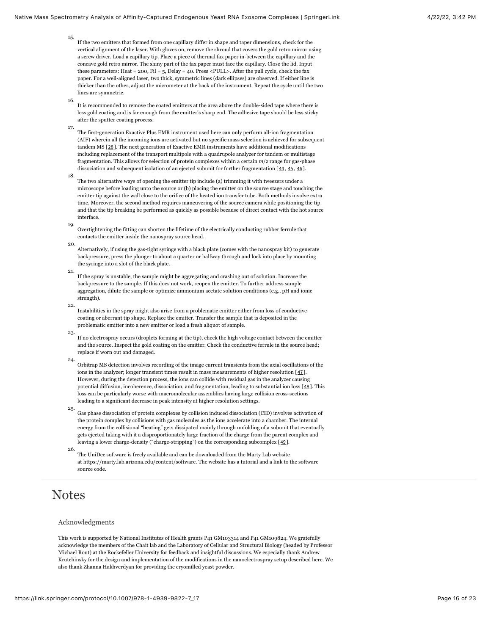- 15. If the two emitters that formed from one capillary differ in shape and taper dimensions, check for the vertical alignment of the laser. With gloves on, remove the shroud that covers the gold retro mirror using a screw driver. Load a capillary tip. Place a piece of thermal fax paper in-between the capillary and the concave gold retro mirror. The shiny part of the fax paper must face the capillary. Close the lid. Input these parameters: Heat = 200, Fil = 5, Delay = 40. Press <PULL>. After the pull cycle, check the fax paper. For a well-aligned laser, two thick, symmetric lines (dark ellipses) are observed. If either line is thicker than the other, adjust the micrometer at the back of the instrument. Repeat the cycle until the two lines are symmetric.
- 16. It is recommended to remove the coated emitters at the area above the double-sided tape where there is less gold coating and is far enough from the emitter's sharp end. The adhesive tape should be less sticky after the sputter coating process.
- 17. 18. The first-generation Exactive Plus EMR instrument used here can only perform all-ion fragmentation (AIF) wherein all the incoming ions are activated but no specific mass selection is achieved for subsequent tandem MS [[28](#page-19-0)]. The next generation of Exactive EMR instruments have additional modifications including replacement of the transport multipole with a quadrupole analyzer for tandem or multistage fragmentation. This allows for selection of protein complexes within a certain *m*/*z* range for gas-phase dissociation and subsequent isolation of an ejected subunit for further fragmentation [[44](#page-20-6), [45](#page-20-7), [46](#page-21-2)].
- The two alternative ways of opening the emitter tip include (a) trimming it with tweezers under a microscope before loading unto the source or (b) placing the emitter on the source stage and touching the emitter tip against the wall close to the orifice of the heated ion transfer tube. Both methods involve extra time. Moreover, the second method requires maneuvering of the source camera while positioning the tip and that the tip breaking be performed as quickly as possible because of direct contact with the hot source interface.
- 19. Overtightening the fitting can shorten the lifetime of the electrically conducting rubber ferrule that contacts the emitter inside the nanospray source head.
- 20. Alternatively, if using the gas-tight syringe with a black plate (comes with the nanospray kit) to generate backpressure, press the plunger to about a quarter or halfway through and lock into place by mounting the syringe into a slot of the black plate.
- 21. If the spray is unstable, the sample might be aggregating and crashing out of solution. Increase the backpressure to the sample. If this does not work, reopen the emitter. To further address sample aggregation, dilute the sample or optimize ammonium acetate solution conditions (e.g., pH and ionic strength).
- 22. Instabilities in the spray might also arise from a problematic emitter either from loss of conductive coating or aberrant tip shape. Replace the emitter. Transfer the sample that is deposited in the problematic emitter into a new emitter or load a fresh aliquot of sample.
- 23. If no electrospray occurs (droplets forming at the tip), check the high voltage contact between the emitter and the source. Inspect the gold coating on the emitter. Check the conductive ferrule in the source head; replace if worn out and damaged.
- 24. Orbitrap MS detection involves recording of the image current transients from the axial oscillations of the ions in the analyzer; longer transient times result in mass measurements of higher resolution [[47](#page-21-3)]. However, during the detection process, the ions can collide with residual gas in the analyzer causing potential diffusion, incoherence, dissociation, and fragmentation, leading to substantial ion loss [[48](#page-21-4)]. This loss can be particularly worse with macromolecular assemblies having large collision cross-sections leading to a significant decrease in peak intensity at higher resolution settings.
- 25. Gas phase dissociation of protein complexes by collision induced dissociation (CID) involves activation of the protein complex by collisions with gas molecules as the ions accelerate into a chamber. The internal energy from the collisional "heating" gets dissipated mainly through unfolding of a subunit that eventually gets ejected taking with it a disproportionately large fraction of the charge from the parent complex and leaving a lower charge-density ("charge-stripping") on the corresponding subcomplex [[49](#page-21-5)].
- The UniDec software is freely available and can be downloaded from the Marty Lab website at https://marty.lab.arizona.edu/content/software. The website has a tutorial and a link to the software source code.

## **Notes**

26.

#### Acknowledgments

This work is supported by National Institutes of Health grants P41 GM103314 and P41 GM109824. We gratefully acknowledge the members of the Chait lab and the Laboratory of Cellular and Structural Biology (headed by Professor Michael Rout) at the Rockefeller University for feedback and insightful discussions. We especially thank Andrew Krutchinsky for the design and implementation of the modifications in the nanoelectrospray setup described here. We also thank Zhanna Hakhverdyan for providing the cryomilled yeast powder.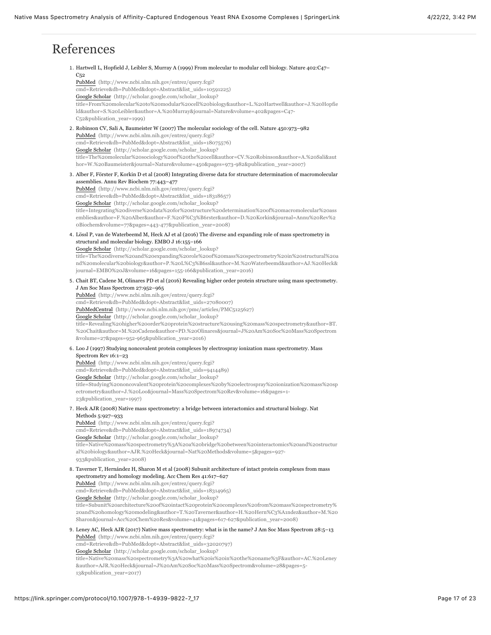# References

<span id="page-16-3"></span><span id="page-16-2"></span><span id="page-16-1"></span><span id="page-16-0"></span>1. Hartwell L, Hopfield J, Leibler S, Murray A (1999) From molecular to modular cell biology. Nature 402:C47–  $C_{52}$ PubMed (http://www.ncbi.nlm.nih.gov/entrez/query.fcgi? [cmd=Retrieve&db=PubMed&dopt=Abstract&list\\_uids=10591225\)](http://www.ncbi.nlm.nih.gov/entrez/query.fcgi?cmd=Retrieve&db=PubMed&dopt=Abstract&list_uids=10591225) Google Scholar (http://scholar.google.com/scholar\_lookup? [title=From%20molecular%20to%20modular%20cell%20biology&author=L.%20Hartwell&author=J.%20Hopfie](http://scholar.google.com/scholar_lookup?title=From%20molecular%20to%20modular%20cell%20biology&author=L.%20Hartwell&author=J.%20Hopfield&author=S.%20Leibler&author=A.%20Murray&journal=Nature&volume=402&pages=C47-C52&publication_year=1999) ld&author=S.%20Leibler&author=A.%20Murray&journal=Nature&volume=402&pages=C47- C52&publication\_year=1999) 2. Robinson CV, Sali A, Baumeister W (2007) The molecular sociology of the cell. Nature 450:973–982 PubMed (http://www.ncbi.nlm.nih.gov/entrez/query.fcgi? [cmd=Retrieve&db=PubMed&dopt=Abstract&list\\_uids=18075576\)](http://www.ncbi.nlm.nih.gov/entrez/query.fcgi?cmd=Retrieve&db=PubMed&dopt=Abstract&list_uids=18075576) Google Scholar (http://scholar.google.com/scholar\_lookup? [title=The%20molecular%20sociology%20of%20the%20cell&author=CV.%20Robinson&author=A.%20Sali&aut](http://scholar.google.com/scholar_lookup?title=The%20molecular%20sociology%20of%20the%20cell&author=CV.%20Robinson&author=A.%20Sali&author=W.%20Baumeister&journal=Nature&volume=450&pages=973-982&publication_year=2007) hor=W.%20Baumeister&journal=Nature&volume=450&pages=973-982&publication\_year=2007) 3. Alber F, Förster F, Korkin D et al (2008) Integrating diverse data for structure determination of macromolecular assemblies. Annu Rev Biochem 77:443–477 PubMed (http://www.ncbi.nlm.nih.gov/entrez/query.fcgi? [cmd=Retrieve&db=PubMed&dopt=Abstract&list\\_uids=18318657\)](http://www.ncbi.nlm.nih.gov/entrez/query.fcgi?cmd=Retrieve&db=PubMed&dopt=Abstract&list_uids=18318657) Google Scholar (http://scholar.google.com/scholar\_lookup? [title=Integrating%20diverse%20data%20for%20structure%20determination%20of%20macromolecular%20ass](http://scholar.google.com/scholar_lookup?title=Integrating%20diverse%20data%20for%20structure%20determination%20of%20macromolecular%20assemblies&author=F.%20Alber&author=F.%20F%C3%B6rster&author=D.%20Korkin&journal=Annu%20Rev%20Biochem&volume=77&pages=443-477&publication_year=2008) emblies&author=F.%20Alber&author=F.%20F%C3%B6rster&author=D.%20Korkin&journal=Annu%20Rev%2 0Biochem&volume=77&pages=443-477&publication\_year=2008) 4. Lössl P, van de Waterbeemd M, Heck AJ et al (2016) The diverse and expanding role of mass spectrometry in structural and molecular biology. EMBO J 16:155–166 Google Scholar (http://scholar.google.com/scholar\_lookup? [title=The%20diverse%20and%20expanding%20role%20of%20mass%20spectrometry%20in%20structural%20a](http://scholar.google.com/scholar_lookup?title=The%20diverse%20and%20expanding%20role%20of%20mass%20spectrometry%20in%20structural%20and%20molecular%20biology&author=P.%20L%C3%B6ssl&author=M.%20Waterbeemd&author=AJ.%20Heck&journal=EMBO%20J&volume=16&pages=155-166&publication_year=2016) nd%20molecular%20biology&author=P.%20L%C3%B6ssl&author=M.%20Waterbeemd&author=AJ.%20Heck& journal=EMBO%20J&volume=16&pages=155-166&publication\_year=2016) 5. Chait BT, Cadene M, Olinares PD et al (2016) Revealing higher order protein structure using mass spectrometry. J Am Soc Mass Spectrom 27:952–965 PubMed (http://www.ncbi.nlm.nih.gov/entrez/query.fcgi? [cmd=Retrieve&db=PubMed&dopt=Abstract&list\\_uids=27080007\)](http://www.ncbi.nlm.nih.gov/entrez/query.fcgi?cmd=Retrieve&db=PubMed&dopt=Abstract&list_uids=27080007) [PubMedCentral \(http://www.ncbi.nlm.nih.gov/pmc/articles/PMC5125627\)](http://www.ncbi.nlm.nih.gov/pmc/articles/PMC5125627) Google Scholar (http://scholar.google.com/scholar\_lookup? [title=Revealing%20higher%20order%20protein%20structure%20using%20mass%20spectrometry&author=BT.](http://scholar.google.com/scholar_lookup?title=Revealing%20higher%20order%20protein%20structure%20using%20mass%20spectrometry&author=BT.%20Chait&author=M.%20Cadene&author=PD.%20Olinares&journal=J%20Am%20Soc%20Mass%20Spectrom&volume=27&pages=952-965&publication_year=2016) %20Chait&author=M.%20Cadene&author=PD.%20Olinares&journal=J%20Am%20Soc%20Mass%20Spectrom &volume=27&pages=952-965&publication\_year=2016) 6. Loo J (1997) Studying noncovalent protein complexes by electrospray ionization mass spectrometry. Mass Spectrom Rev 16:1–23 PubMed (http://www.ncbi.nlm.nih.gov/entrez/query.fcgi? [cmd=Retrieve&db=PubMed&dopt=Abstract&list\\_uids=9414489\)](http://www.ncbi.nlm.nih.gov/entrez/query.fcgi?cmd=Retrieve&db=PubMed&dopt=Abstract&list_uids=9414489) Google Scholar (http://scholar.google.com/scholar\_lookup? [title=Studying%20noncovalent%20protein%20complexes%20by%20electrospray%20ionization%20mass%20sp](http://scholar.google.com/scholar_lookup?title=Studying%20noncovalent%20protein%20complexes%20by%20electrospray%20ionization%20mass%20spectrometry&author=J.%20Loo&journal=Mass%20Spectrom%20Rev&volume=16&pages=1-23&publication_year=1997) ectrometry&author=J.%20Loo&journal=Mass%20Spectrom%20Rev&volume=16&pages=1- 23&publication\_year=1997) 7. Heck AJR (2008) Native mass spectrometry: a bridge between interactomics and structural biology. Nat Methods 5:927–933 PubMed (http://www.ncbi.nlm.nih.gov/entrez/query.fcgi? [cmd=Retrieve&db=PubMed&dopt=Abstract&list\\_uids=18974734\)](http://www.ncbi.nlm.nih.gov/entrez/query.fcgi?cmd=Retrieve&db=PubMed&dopt=Abstract&list_uids=18974734) Google Scholar (http://scholar.google.com/scholar\_lookup? [title=Native%20mass%20spectrometry%3A%20a%20bridge%20between%20interactomics%20and%20structur](http://scholar.google.com/scholar_lookup?title=Native%20mass%20spectrometry%3A%20a%20bridge%20between%20interactomics%20and%20structural%20biology&author=AJR.%20Heck&journal=Nat%20Methods&volume=5&pages=927-933&publication_year=2008) al%20biology&author=AJR.%20Heck&journal=Nat%20Methods&volume=5&pages=927- 933&publication\_year=2008) 8. Taverner T, Hernández H, Sharon M et al (2008) Subunit architecture of intact protein complexes from mass spectrometry and homology modeling. Acc Chem Res 41:617–627 PubMed (http://www.ncbi.nlm.nih.gov/entrez/query.fcgi?

<span id="page-16-7"></span><span id="page-16-6"></span><span id="page-16-5"></span><span id="page-16-4"></span>[cmd=Retrieve&db=PubMed&dopt=Abstract&list\\_uids=18314965\)](http://www.ncbi.nlm.nih.gov/entrez/query.fcgi?cmd=Retrieve&db=PubMed&dopt=Abstract&list_uids=18314965) Google Scholar (http://scholar.google.com/scholar\_lookup? title=Subunit%20architecture%20of%20intact%20protein%20complexes%20from%20mass%20spectrometry% [20and%20homology%20modeling&author=T.%20Taverner&author=H.%20Hern%C3%A1ndez&author=M.%20](http://scholar.google.com/scholar_lookup?title=Subunit%20architecture%20of%20intact%20protein%20complexes%20from%20mass%20spectrometry%20and%20homology%20modeling&author=T.%20Taverner&author=H.%20Hern%C3%A1ndez&author=M.%20Sharon&journal=Acc%20Chem%20Res&volume=41&pages=617-627&publication_year=2008) Sharon&journal=Acc%20Chem%20Res&volume=41&pages=617-627&publication\_year=2008)

<span id="page-16-8"></span>9. Leney AC, Heck AJR (2017) Native mass spectrometry: what is in the name? J Am Soc Mass Spectrom 28:5–13 PubMed (http://www.ncbi.nlm.nih.gov/entrez/query.fcgi? [cmd=Retrieve&db=PubMed&dopt=Abstract&list\\_uids=32020797\)](http://www.ncbi.nlm.nih.gov/entrez/query.fcgi?cmd=Retrieve&db=PubMed&dopt=Abstract&list_uids=32020797) Google Scholar (http://scholar.google.com/scholar\_lookup? [title=Native%20mass%20spectrometry%3A%20what%20is%20in%20the%20name%3F&author=AC.%20Leney](http://scholar.google.com/scholar_lookup?title=Native%20mass%20spectrometry%3A%20what%20is%20in%20the%20name%3F&author=AC.%20Leney&author=AJR.%20Heck&journal=J%20Am%20Soc%20Mass%20Spectrom&volume=28&pages=5-13&publication_year=2017) &author=AJR.%20Heck&journal=J%20Am%20Soc%20Mass%20Spectrom&volume=28&pages=5- 13&publication\_year=2017)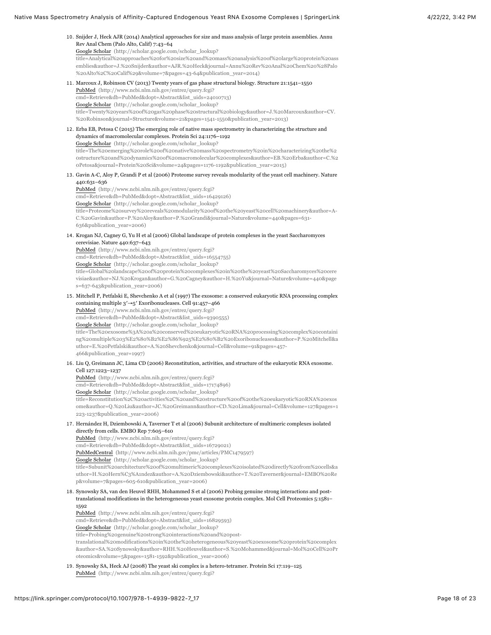#### <span id="page-17-0"></span>10. Snijder J, Heck AJR (2014) Analytical approaches for size and mass analysis of large protein assemblies. Annu Rev Anal Chem (Palo Alto, Calif) 7:43–64

Google Scholar (http://scholar.google.com/scholar\_lookup? [title=Analytical%20approaches%20for%20size%20and%20mass%20analysis%20of%20large%20protein%20ass](http://scholar.google.com/scholar_lookup?title=Analytical%20approaches%20for%20size%20and%20mass%20analysis%20of%20large%20protein%20assemblies&author=J.%20Snijder&author=AJR.%20Heck&journal=Annu%20Rev%20Anal%20Chem%20%28Palo%20Alto%2C%20Calif%29&volume=7&pages=43-64&publication_year=2014) emblies&author=J.%20Snijder&author=AJR.%20Heck&journal=Annu%20Rev%20Anal%20Chem%20%28Palo %20Alto%2C%20Calif%29&volume=7&pages=43-64&publication\_year=2014)

- <span id="page-17-1"></span>11. Marcoux J, Robinson CV (2013) Twenty years of gas phase structural biology. Structure 21:1541–1550 PubMed (http://www.ncbi.nlm.nih.gov/entrez/query.fcgi? [cmd=Retrieve&db=PubMed&dopt=Abstract&list\\_uids=24010713\)](http://www.ncbi.nlm.nih.gov/entrez/query.fcgi?cmd=Retrieve&db=PubMed&dopt=Abstract&list_uids=24010713) Google Scholar (http://scholar.google.com/scholar\_lookup? [title=Twenty%20years%20of%20gas%20phase%20structural%20biology&author=J.%20Marcoux&author=CV.](http://scholar.google.com/scholar_lookup?title=Twenty%20years%20of%20gas%20phase%20structural%20biology&author=J.%20Marcoux&author=CV.%20Robinson&journal=Structure&volume=21&pages=1541-1550&publication_year=2013) %20Robinson&journal=Structure&volume=21&pages=1541-1550&publication\_year=2013)
- <span id="page-17-2"></span>12. Erba EB, Petosa C (2015) The emerging role of native mass spectrometry in characterizing the structure and dynamics of macromolecular complexes. Protein Sci 24:1176–1192 Google Scholar (http://scholar.google.com/scholar\_lookup? title=The%20emerging%20role%20of%20native%20mass%20spectrometry%20in%20characterizing%20the%2 [0structure%20and%20dynamics%20of%20macromolecular%20complexes&author=EB.%20Erba&author=C.%2](http://scholar.google.com/scholar_lookup?title=The%20emerging%20role%20of%20native%20mass%20spectrometry%20in%20characterizing%20the%20structure%20and%20dynamics%20of%20macromolecular%20complexes&author=EB.%20Erba&author=C.%20Petosa&journal=Protein%20Sci&volume=24&pages=1176-1192&publication_year=2015) 0Petosa&journal=Protein%20Sci&volume=24&pages=1176-1192&publication\_year=2015)
- <span id="page-17-3"></span>13. Gavin A-C, Aloy P, Grandi P et al (2006) Proteome survey reveals modularity of the yeast cell machinery. Nature 440:631–636

PubMed (http://www.ncbi.nlm.nih.gov/entrez/query.fcgi? [cmd=Retrieve&db=PubMed&dopt=Abstract&list\\_uids=16429126\)](http://www.ncbi.nlm.nih.gov/entrez/query.fcgi?cmd=Retrieve&db=PubMed&dopt=Abstract&list_uids=16429126) Google Scholar (http://scholar.google.com/scholar\_lookup? [title=Proteome%20survey%20reveals%20modularity%20of%20the%20yeast%20cell%20machinery&author=A-](http://scholar.google.com/scholar_lookup?title=Proteome%20survey%20reveals%20modularity%20of%20the%20yeast%20cell%20machinery&author=A-C.%20Gavin&author=P.%20Aloy&author=P.%20Grandi&journal=Nature&volume=440&pages=631-636&publication_year=2006)C.%20Gavin&author=P.%20Aloy&author=P.%20Grandi&journal=Nature&volume=440&pages=631- 636&publication\_year=2006)

<span id="page-17-4"></span>14. Krogan NJ, Cagney G, Yu H et al (2006) Global landscape of protein complexes in the yeast Saccharomyces cerevisiae. Nature 440:637–643

PubMed (http://www.ncbi.nlm.nih.gov/entrez/query.fcgi? [cmd=Retrieve&db=PubMed&dopt=Abstract&list\\_uids=16554755\)](http://www.ncbi.nlm.nih.gov/entrez/query.fcgi?cmd=Retrieve&db=PubMed&dopt=Abstract&list_uids=16554755)

Google Scholar (http://scholar.google.com/scholar\_lookup?

[title=Global%20landscape%20of%20protein%20complexes%20in%20the%20yeast%20Saccharomyces%20cere](http://scholar.google.com/scholar_lookup?title=Global%20landscape%20of%20protein%20complexes%20in%20the%20yeast%20Saccharomyces%20cerevisiae&author=NJ.%20Krogan&author=G.%20Cagney&author=H.%20Yu&journal=Nature&volume=440&pages=637-643&publication_year=2006) visiae&author=NJ.%20Krogan&author=G.%20Cagney&author=H.%20Yu&journal=Nature&volume=440&page s=637-643&publication\_year=2006)

<span id="page-17-5"></span>15. Mitchell P, Petfalski E, Shevchenko A et al (1997) The exosome: a conserved eukaryotic RNA processing complex containing multiple 3′→5′ Exoribonucleases. Cell 91:457–466

PubMed (http://www.ncbi.nlm.nih.gov/entrez/query.fcgi? [cmd=Retrieve&db=PubMed&dopt=Abstract&list\\_uids=9390555\)](http://www.ncbi.nlm.nih.gov/entrez/query.fcgi?cmd=Retrieve&db=PubMed&dopt=Abstract&list_uids=9390555) Google Scholar (http://scholar.google.com/scholar\_lookup? title=The%20exosome%3A%20a%20conserved%20eukaryotic%20RNA%20processing%20complex%20containi [ng%20multiple%203%E2%80%B2%E2%86%925%E2%80%B2%20Exoribonucleases&author=P.%20Mitchell&a](http://scholar.google.com/scholar_lookup?title=The%20exosome%3A%20a%20conserved%20eukaryotic%20RNA%20processing%20complex%20containing%20multiple%203%E2%80%B2%E2%86%925%E2%80%B2%20Exoribonucleases&author=P.%20Mitchell&author=E.%20Petfalski&author=A.%20Shevchenko&journal=Cell&volume=91&pages=457-466&publication_year=1997) uthor=E.%20Petfalski&author=A.%20Shevchenko&journal=Cell&volume=91&pages=457- 466&publication\_year=1997)

<span id="page-17-6"></span>16. Liu Q, Greimann JC, Lima CD (2006) Reconstitution, activities, and structure of the eukaryotic RNA exosome. Cell 127:1223–1237

PubMed (http://www.ncbi.nlm.nih.gov/entrez/query.fcgi? [cmd=Retrieve&db=PubMed&dopt=Abstract&list\\_uids=17174896\)](http://www.ncbi.nlm.nih.gov/entrez/query.fcgi?cmd=Retrieve&db=PubMed&dopt=Abstract&list_uids=17174896) Google Scholar (http://scholar.google.com/scholar\_lookup? title=Reconstitution%2C%20activities%2C%20and%20structure%20of%20the%20eukaryotic%20RNA%20exos [ome&author=Q.%20Liu&author=JC.%20Greimann&author=CD.%20Lima&journal=Cell&volume=127&pages=1](http://scholar.google.com/scholar_lookup?title=Reconstitution%2C%20activities%2C%20and%20structure%20of%20the%20eukaryotic%20RNA%20exosome&author=Q.%20Liu&author=JC.%20Greimann&author=CD.%20Lima&journal=Cell&volume=127&pages=1223-1237&publication_year=2006) 223-1237&publication\_year=2006)

<span id="page-17-7"></span>17. Hernández H, Dziembowski A, Taverner T et al (2006) Subunit architecture of multimeric complexes isolated directly from cells. EMBO Rep 7:605–610

PubMed (http://www.ncbi.nlm.nih.gov/entrez/query.fcgi? [cmd=Retrieve&db=PubMed&dopt=Abstract&list\\_uids=16729021\)](http://www.ncbi.nlm.nih.gov/entrez/query.fcgi?cmd=Retrieve&db=PubMed&dopt=Abstract&list_uids=16729021) [PubMedCentral \(http://www.ncbi.nlm.nih.gov/pmc/articles/PMC1479597\)](http://www.ncbi.nlm.nih.gov/pmc/articles/PMC1479597) Google Scholar (http://scholar.google.com/scholar\_lookup? [title=Subunit%20architecture%20of%20multimeric%20complexes%20isolated%20directly%20from%20cells&a](http://scholar.google.com/scholar_lookup?title=Subunit%20architecture%20of%20multimeric%20complexes%20isolated%20directly%20from%20cells&author=H.%20Hern%C3%A1ndez&author=A.%20Dziembowski&author=T.%20Taverner&journal=EMBO%20Rep&volume=7&pages=605-610&publication_year=2006) uthor=H.%20Hern%C3%A1ndez&author=A.%20Dziembowski&author=T.%20Taverner&journal=EMBO%20Re p&volume=7&pages=605-610&publication\_year=2006)

<span id="page-17-8"></span>18. Synowsky SA, van den Heuvel RHH, Mohammed S et al (2006) Probing genuine strong interactions and posttranslational modifications in the heterogeneous yeast exosome protein complex. Mol Cell Proteomics 5:1581– 1592

PubMed (http://www.ncbi.nlm.nih.gov/entrez/query.fcgi? [cmd=Retrieve&db=PubMed&dopt=Abstract&list\\_uids=16829593\)](http://www.ncbi.nlm.nih.gov/entrez/query.fcgi?cmd=Retrieve&db=PubMed&dopt=Abstract&list_uids=16829593) Google Scholar (http://scholar.google.com/scholar\_lookup? title=Probing%20genuine%20strong%20interactions%20and%20posttranslational%20modifications%20in%20the%20heterogeneous%20yeast%20exosome%20protein%20complex [&author=SA.%20Synowsky&author=RHH.%20Heuvel&author=S.%20Mohammed&journal=Mol%20Cell%20Pr](http://scholar.google.com/scholar_lookup?title=Probing%20genuine%20strong%20interactions%20and%20post-translational%20modifications%20in%20the%20heterogeneous%20yeast%20exosome%20protein%20complex&author=SA.%20Synowsky&author=RHH.%20Heuvel&author=S.%20Mohammed&journal=Mol%20Cell%20Proteomics&volume=5&pages=1581-1592&publication_year=2006) oteomics&volume=5&pages=1581-1592&publication\_year=2006)

<span id="page-17-9"></span>19. Synowsky SA, Heck AJ (2008) The yeast ski complex is a hetero-tetramer. Protein Sci 17:119–125 [PubMed \(http://www.ncbi.nlm.nih.gov/entrez/query.fcgi?](http://www.ncbi.nlm.nih.gov/entrez/query.fcgi?cmd=Retrieve&db=PubMed&dopt=Abstract&list_uids=18042677)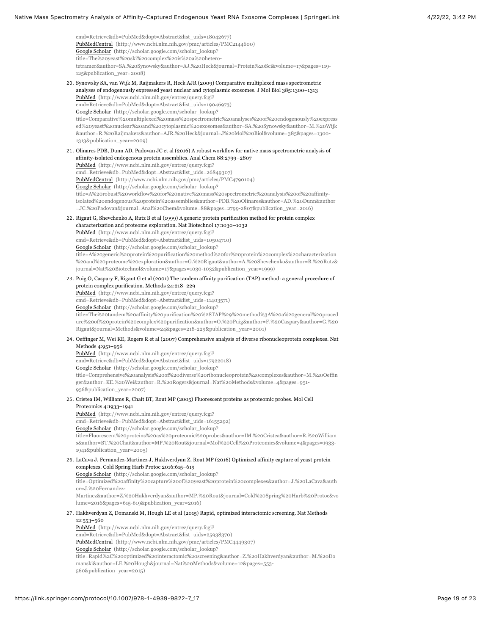<span id="page-18-7"></span><span id="page-18-6"></span><span id="page-18-5"></span><span id="page-18-4"></span><span id="page-18-3"></span><span id="page-18-2"></span><span id="page-18-1"></span><span id="page-18-0"></span>[cmd=Retrieve&db=PubMed&dopt=Abstract&list\\_uids=18042677\)](http://www.ncbi.nlm.nih.gov/entrez/query.fcgi?cmd=Retrieve&db=PubMed&dopt=Abstract&list_uids=18042677) [PubMedCentral \(http://www.ncbi.nlm.nih.gov/pmc/articles/PMC2144600\)](http://www.ncbi.nlm.nih.gov/pmc/articles/PMC2144600) Google Scholar (http://scholar.google.com/scholar\_lookup? title=The%20yeast%20ski%20complex%20is%20a%20hetero[tetramer&author=SA.%20Synowsky&author=AJ.%20Heck&journal=Protein%20Sci&volume=17&pages=119-](http://scholar.google.com/scholar_lookup?title=The%20yeast%20ski%20complex%20is%20a%20hetero-tetramer&author=SA.%20Synowsky&author=AJ.%20Heck&journal=Protein%20Sci&volume=17&pages=119-125&publication_year=2008) 125&publication\_year=2008) 20. Synowsky SA, van Wijk M, Raijmakers R, Heck AJR (2009) Comparative multiplexed mass spectrometric analyses of endogenously expressed yeast nuclear and cytoplasmic exosomes. J Mol Biol 385:1300–1313 PubMed (http://www.ncbi.nlm.nih.gov/entrez/query.fcgi? [cmd=Retrieve&db=PubMed&dopt=Abstract&list\\_uids=19046973\)](http://www.ncbi.nlm.nih.gov/entrez/query.fcgi?cmd=Retrieve&db=PubMed&dopt=Abstract&list_uids=19046973) Google Scholar (http://scholar.google.com/scholar\_lookup? [title=Comparative%20multiplexed%20mass%20spectrometric%20analyses%20of%20endogenously%20express](http://scholar.google.com/scholar_lookup?title=Comparative%20multiplexed%20mass%20spectrometric%20analyses%20of%20endogenously%20expressed%20yeast%20nuclear%20and%20cytoplasmic%20exosomes&author=SA.%20Synowsky&author=M.%20Wijk&author=R.%20Raijmakers&author=AJR.%20Heck&journal=J%20Mol%20Biol&volume=385&pages=1300-1313&publication_year=2009) ed%20yeast%20nuclear%20and%20cytoplasmic%20exosomes&author=SA.%20Synowsky&author=M.%20Wijk &author=R.%20Raijmakers&author=AJR.%20Heck&journal=J%20Mol%20Biol&volume=385&pages=1300- 1313&publication\_year=2009) 21. Olinares PDB, Dunn AD, Padovan JC et al (2016) A robust workflow for native mass spectrometric analysis of affinity-isolated endogenous protein assemblies. Anal Chem 88:2799–2807 PubMed (http://www.ncbi.nlm.nih.gov/entrez/query.fcgi? [cmd=Retrieve&db=PubMed&dopt=Abstract&list\\_uids=26849307\)](http://www.ncbi.nlm.nih.gov/entrez/query.fcgi?cmd=Retrieve&db=PubMed&dopt=Abstract&list_uids=26849307) [PubMedCentral \(http://www.ncbi.nlm.nih.gov/pmc/articles/PMC4790104\)](http://www.ncbi.nlm.nih.gov/pmc/articles/PMC4790104) Google Scholar (http://scholar.google.com/scholar\_lookup? title=A%20robust%20workflow%20for%20native%20mass%20spectrometric%20analysis%20of%20affinity[isolated%20endogenous%20protein%20assemblies&author=PDB.%20Olinares&author=AD.%20Dunn&author](http://scholar.google.com/scholar_lookup?title=A%20robust%20workflow%20for%20native%20mass%20spectrometric%20analysis%20of%20affinity-isolated%20endogenous%20protein%20assemblies&author=PDB.%20Olinares&author=AD.%20Dunn&author=JC.%20Padovan&journal=Anal%20Chem&volume=88&pages=2799-2807&publication_year=2016) =JC.%20Padovan&journal=Anal%20Chem&volume=88&pages=2799-2807&publication\_year=2016) 22. Rigaut G, Shevchenko A, Rutz B et al (1999) A generic protein purification method for protein complex characterization and proteome exploration. Nat Biotechnol 17:1030–1032 PubMed (http://www.ncbi.nlm.nih.gov/entrez/query.fcgi? [cmd=Retrieve&db=PubMed&dopt=Abstract&list\\_uids=10504710\)](http://www.ncbi.nlm.nih.gov/entrez/query.fcgi?cmd=Retrieve&db=PubMed&dopt=Abstract&list_uids=10504710) Google Scholar (http://scholar.google.com/scholar\_lookup? title=A%20generic%20protein%20purification%20method%20for%20protein%20complex%20characterization [%20and%20proteome%20exploration&author=G.%20Rigaut&author=A.%20Shevchenko&author=B.%20Rutz&](http://scholar.google.com/scholar_lookup?title=A%20generic%20protein%20purification%20method%20for%20protein%20complex%20characterization%20and%20proteome%20exploration&author=G.%20Rigaut&author=A.%20Shevchenko&author=B.%20Rutz&journal=Nat%20Biotechnol&volume=17&pages=1030-1032&publication_year=1999) journal=Nat%20Biotechnol&volume=17&pages=1030-1032&publication\_year=1999) 23. Puig O, Caspary F, Rigaut G et al (2001) The tandem affinity purification (TAP) method: a general procedure of protein complex purification. Methods 24:218–229 PubMed (http://www.ncbi.nlm.nih.gov/entrez/query.fcgi? [cmd=Retrieve&db=PubMed&dopt=Abstract&list\\_uids=11403571\)](http://www.ncbi.nlm.nih.gov/entrez/query.fcgi?cmd=Retrieve&db=PubMed&dopt=Abstract&list_uids=11403571) Google Scholar (http://scholar.google.com/scholar\_lookup? [title=The%20tandem%20affinity%20purification%20%28TAP%29%20method%3A%20a%20general%20proced](http://scholar.google.com/scholar_lookup?title=The%20tandem%20affinity%20purification%20%28TAP%29%20method%3A%20a%20general%20procedure%20of%20protein%20complex%20purification&author=O.%20Puig&author=F.%20Caspary&author=G.%20Rigaut&journal=Methods&volume=24&pages=218-229&publication_year=2001) ure%20of%20protein%20complex%20purification&author=O.%20Puig&author=F.%20Caspary&author=G.%20 Rigaut&journal=Methods&volume=24&pages=218-229&publication\_year=2001) 24. Oeffinger M, Wei KE, Rogers R et al (2007) Comprehensive analysis of diverse ribonucleoprotein complexes. Nat Methods 4:951–956 PubMed (http://www.ncbi.nlm.nih.gov/entrez/query.fcgi? [cmd=Retrieve&db=PubMed&dopt=Abstract&list\\_uids=17922018\)](http://www.ncbi.nlm.nih.gov/entrez/query.fcgi?cmd=Retrieve&db=PubMed&dopt=Abstract&list_uids=17922018) Google Scholar (http://scholar.google.com/scholar\_lookup? [title=Comprehensive%20analysis%20of%20diverse%20ribonucleoprotein%20complexes&author=M.%20Oeffin](http://scholar.google.com/scholar_lookup?title=Comprehensive%20analysis%20of%20diverse%20ribonucleoprotein%20complexes&author=M.%20Oeffinger&author=KE.%20Wei&author=R.%20Rogers&journal=Nat%20Methods&volume=4&pages=951-956&publication_year=2007) ger&author=KE.%20Wei&author=R.%20Rogers&journal=Nat%20Methods&volume=4&pages=951- 956&publication\_year=2007) 25. Cristea IM, Williams R, Chait BT, Rout MP (2005) Fluorescent proteins as proteomic probes. Mol Cell Proteomics 4:1933–1941 PubMed (http://www.ncbi.nlm.nih.gov/entrez/query.fcgi? [cmd=Retrieve&db=PubMed&dopt=Abstract&list\\_uids=16155292\)](http://www.ncbi.nlm.nih.gov/entrez/query.fcgi?cmd=Retrieve&db=PubMed&dopt=Abstract&list_uids=16155292) Google Scholar (http://scholar.google.com/scholar\_lookup? [title=Fluorescent%20proteins%20as%20proteomic%20probes&author=IM.%20Cristea&author=R.%20William](http://scholar.google.com/scholar_lookup?title=Fluorescent%20proteins%20as%20proteomic%20probes&author=IM.%20Cristea&author=R.%20Williams&author=BT.%20Chait&author=MP.%20Rout&journal=Mol%20Cell%20Proteomics&volume=4&pages=1933-1941&publication_year=2005) s&author=BT.%20Chait&author=MP.%20Rout&journal=Mol%20Cell%20Proteomics&volume=4&pages=1933- 1941&publication\_year=2005) 26. LaCava J, Fernandez-Martinez J, Hakhverdyan Z, Rout MP (2016) Optimized affinity capture of yeast protein complexes. Cold Spring Harb Protoc 2016:615–619 Google Scholar (http://scholar.google.com/scholar\_lookup? title=Optimized%20affinity%20capture%20of%20yeast%20protein%20complexes&author=J.%20LaCava&auth or=J.%20Fernandez-[Martinez&author=Z.%20Hakhverdyan&author=MP.%20Rout&journal=Cold%20Spring%20Harb%20Protoc&vo](http://scholar.google.com/scholar_lookup?title=Optimized%20affinity%20capture%20of%20yeast%20protein%20complexes&author=J.%20LaCava&author=J.%20Fernandez-Martinez&author=Z.%20Hakhverdyan&author=MP.%20Rout&journal=Cold%20Spring%20Harb%20Protoc&volume=2016&pages=615-619&publication_year=2016) lume=2016&pages=615-619&publication\_year=2016) 27. Hakhverdyan Z, Domanski M, Hough LE et al (2015) Rapid, optimized interactomic screening. Nat Methods 12:553–560 PubMed (http://www.ncbi.nlm.nih.gov/entrez/query.fcgi? [cmd=Retrieve&db=PubMed&dopt=Abstract&list\\_uids=25938370\)](http://www.ncbi.nlm.nih.gov/entrez/query.fcgi?cmd=Retrieve&db=PubMed&dopt=Abstract&list_uids=25938370) [PubMedCentral \(http://www.ncbi.nlm.nih.gov/pmc/articles/PMC4449307\)](http://www.ncbi.nlm.nih.gov/pmc/articles/PMC4449307) Google Scholar (http://scholar.google.com/scholar\_lookup? [title=Rapid%2C%20optimized%20interactomic%20screening&author=Z.%20Hakhverdyan&author=M.%20Do](http://scholar.google.com/scholar_lookup?title=Rapid%2C%20optimized%20interactomic%20screening&author=Z.%20Hakhverdyan&author=M.%20Domanski&author=LE.%20Hough&journal=Nat%20Methods&volume=12&pages=553-560&publication_year=2015) manski&author=LE.%20Hough&journal=Nat%20Methods&volume=12&pages=553- 560&publication\_year=2015)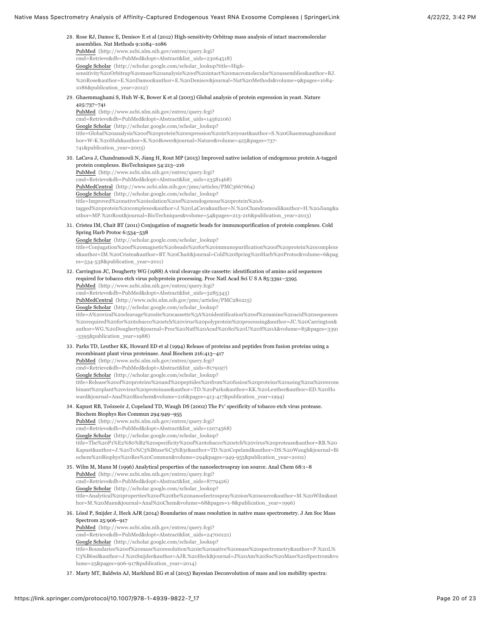<span id="page-19-4"></span><span id="page-19-3"></span><span id="page-19-2"></span><span id="page-19-1"></span><span id="page-19-0"></span>

| 28. Rose RJ, Damoc E, Denisov E et al (2012) High-sensitivity Orbitrap mass analysis of intact macromolecular<br>assemblies. Nat Methods 9:1084-1086<br>PubMed (http://www.ncbi.nlm.nih.gov/entrez/query.fcgi?<br>cmd=Retrieve&db=PubMed&dopt=Abstract&list_uids=23064518)<br>Google Scholar (http://scholar.google.com/scholar_lookup?title=High-<br>sensitivity%20Orbitrap%20mass%20analysis%20of%20intact%20macromolecular%20assemblies&author=RJ.<br>%20Rose&author=E.%20Damoc&author=E.%20Denisov&journal=Nat%20Methods&volume=9&pages=1084-<br>1086&publication_year=2012)                                                                                                                                                                                                                         |
|----------------------------------------------------------------------------------------------------------------------------------------------------------------------------------------------------------------------------------------------------------------------------------------------------------------------------------------------------------------------------------------------------------------------------------------------------------------------------------------------------------------------------------------------------------------------------------------------------------------------------------------------------------------------------------------------------------------------------------------------------------------------------------------------------------|
| 29. Ghaemmaghami S, Huh W-K, Bower K et al (2003) Global analysis of protein expression in yeast. Nature<br>425:737-741<br>PubMed (http://www.ncbi.nlm.nih.gov/entrez/query.fcgi?<br>cmd=Retrieve&db=PubMed&dopt=Abstract&list_uids=14562106)<br>Google Scholar (http://scholar.google.com/scholar_lookup?<br>title=Global%20analysis%20of%20protein%20expression%20in%20yeast&author=S.%20Ghaemmaghami&aut                                                                                                                                                                                                                                                                                                                                                                                              |
| hor=W-K.%20Huh&author=K.%20Bower&journal=Nature&volume=425&pages=737-<br>741&publication_year=2003)                                                                                                                                                                                                                                                                                                                                                                                                                                                                                                                                                                                                                                                                                                      |
| 30. LaCava J, Chandramouli N, Jiang H, Rout MP (2013) Improved native isolation of endogenous protein A-tagged<br>protein complexes. BioTechniques 54:213-216<br>PubMed (http://www.ncbi.nlm.nih.gov/entrez/query.fcgi?<br>cmd=Retrieve&db=PubMed&dopt=Abstract&list_uids=23581468)<br>PubMedCentral (http://www.ncbi.nlm.nih.gov/pmc/articles/PMC3667664)<br>Google Scholar (http://scholar.google.com/scholar_lookup?<br>title=Improved%20native%20isolation%20of%20endogenous%20protein%20A-<br>tagged%20protein%20complexes&author=J.%20LaCava&author=N.%20Chandramouli&author=H.%20Jiang&a<br>uthor=MP.%20Rout&journal=BioTechniques&volume=54&pages=213-216&publication_year=2013)                                                                                                                 |
| 31. Cristea IM, Chait BT (2011) Conjugation of magnetic beads for immunopurification of protein complexes. Cold<br>Spring Harb Protoc 6:534-538<br>Google Scholar (http://scholar.google.com/scholar_lookup?<br>title=Conjugation%20of%20magnetic%20beads%20for%20immunopurification%20of%20protein%20complexe<br>s&author=IM.%20Cristea&author=BT.%20Chait&journal=Cold%20Spring%20Harb%20Protoc&volume=6&pag<br>es=534-538&publication_year=2011)                                                                                                                                                                                                                                                                                                                                                      |
| 32. Carrington JC, Dougherty WG (1988) A viral cleavage site cassette: identification of amino acid sequences<br>required for tobacco etch virus polyprotein processing. Proc Natl Acad Sci U S A 85:3391-3395<br>PubMed (http://www.ncbi.nlm.nih.gov/entrez/query.fcgi?<br>cmd=Retrieve&db=PubMed&dopt=Abstract&list_uids=3285343)<br>PubMedCentral (http://www.ncbi.nlm.nih.gov/pmc/articles/PMC280215)<br>Google Scholar (http://scholar.google.com/scholar_lookup?<br>title=A%20viral%20cleavage%20site%20cassette%3A%20identification%20of%20amino%20acid%20sequences<br>%20required%20for%20tobacco%20etch%20virus%20polyprotein%20processing&author=JC.%20Carrington&<br>author=WG.%20Dougherty&journal=Proc%20Natl%20Acad%20Sci%20U%20S%20A&volume=85&pages=3391<br>-3395&publication_year=1988) |
| 33. Parks TD, Leuther KK, Howard ED et al (1994) Release of proteins and peptides from fusion proteins using a<br>recombinant plant virus proteinase. Anal Biochem 216:413-417<br>PubMed (http://www.ncbi.nlm.nih.gov/entrez/query.fcgi?<br>cmd=Retrieve&db=PubMed&dopt=Abstract&list_uids=8179197)<br>Google Scholar (http://scholar.google.com/scholar_lookup?<br>title=Release%20of%20proteins%20and%20peptides%20from%20fusion%20proteins%20using%20a%20recom<br>binant%20plant%20virus%20proteinase&author=TD.%20Parks&author=KK.%20Leuther&author=ED.%20Ho<br>ward&journal=Anal%20Biochem&volume=216&pages=413-417&publication_year=1994)                                                                                                                                                          |
| 34. Kapust RB, Toözseór J, Copeland TD, Waugh DS (2002) The P1' specificity of tobacco etch virus protease.<br>Biochem Biophys Res Commun 294:949-955<br>PubMed (http://www.ncbi.nlm.nih.gov/entrez/query.fcgi?<br>cmd=Retrieve&db=PubMed&dopt=Abstract&list_uids=12074568)<br>Google Scholar (http://scholar.google.com/scholar_lookup?<br>title=The%20P1%E2%80%B2%20specificity%20of%20tobacco%20etch%20virus%20protease&author=RB.%20<br>Kapust&author=J.%20T0%C3%B6zse%C3%B3r&author=TD.%20Copeland&author=DS.%20Waugh&journal=Bi<br>ochem%20Biophys%20Res%20Commun&volume=294&pages=949-955&publication_year=2002)                                                                                                                                                                                  |
| 35. Wilm M, Mann M (1996) Analytical properties of the nanoelectrospray ion source. Anal Chem 68:1-8<br>PubMed (http://www.ncbi.nlm.nih.gov/entrez/query.fcgi?<br>cmd=Retrieve&db=PubMed&dopt=Abstract&list_uids=8779426)<br>Google Scholar (http://scholar.google.com/scholar_lookup?<br>title=Analytical%20properties%20of%20the%20nanoelectrospray%20ion%20source&author=M.%20Wilm&aut<br>hor=M.%20Mann&journal=Anal%20Chem&volume=68&pages=1-8&publication_year=1996)                                                                                                                                                                                                                                                                                                                                |
| 36. Lössl P, Snijder J, Heck AJR (2014) Boundaries of mass resolution in native mass spectrometry. J Am Soc Mass<br>Spectrom 25:906-917<br>PubMed (http://www.ncbi.nlm.nih.gov/entrez/query.fcgi?<br>cmd=Retrieve&db=PubMed&dopt=Abstract&list_uids=24700121)<br>Google Scholar (http://scholar.google.com/scholar_lookup?<br>title=Boundaries%20of%20mass%20resolution%20in%20native%20mass%20spectrometry&author=P.%20L%<br>C3%B6ssl&author=J.%20Snijder&author=AJR.%20Heck&journal=J%20Am%20Soc%20Mass%20Spectrom&vo<br>lume=25&pages=906-917&publication_year=2014)                                                                                                                                                                                                                                  |

<span id="page-19-9"></span><span id="page-19-8"></span><span id="page-19-7"></span><span id="page-19-6"></span><span id="page-19-5"></span>37. Marty MT, Baldwin AJ, Marklund EG et al (2015) Bayesian Deconvolution of mass and ion mobility spectra: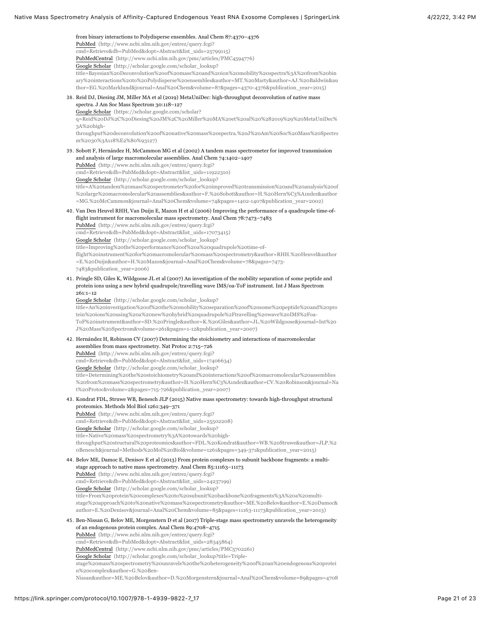<span id="page-20-3"></span><span id="page-20-2"></span><span id="page-20-1"></span><span id="page-20-0"></span>from binary interactions to Polydisperse ensembles. Anal Chem 87:4370–4376 PubMed (http://www.ncbi.nlm.nih.gov/entrez/query.fcgi? [cmd=Retrieve&db=PubMed&dopt=Abstract&list\\_uids=25799115\)](http://www.ncbi.nlm.nih.gov/entrez/query.fcgi?cmd=Retrieve&db=PubMed&dopt=Abstract&list_uids=25799115) [PubMedCentral \(http://www.ncbi.nlm.nih.gov/pmc/articles/PMC4594776\)](http://www.ncbi.nlm.nih.gov/pmc/articles/PMC4594776) Google Scholar (http://scholar.google.com/scholar\_lookup? title=Bayesian%20Deconvolution%20of%20mass%20and%20ion%20mobility%20spectra%3A%20from%20bin [ary%20interactions%20to%20Polydisperse%20ensembles&author=MT.%20Marty&author=AJ.%20Baldwin&au](http://scholar.google.com/scholar_lookup?title=Bayesian%20Deconvolution%20of%20mass%20and%20ion%20mobility%20spectra%3A%20from%20binary%20interactions%20to%20Polydisperse%20ensembles&author=MT.%20Marty&author=AJ.%20Baldwin&author=EG.%20Marklund&journal=Anal%20Chem&volume=87&pages=4370-4376&publication_year=2015) thor=EG.%20Marklund&journal=Anal%20Chem&volume=87&pages=4370-4376&publication\_year=2015) 38. Reid DJ, Diesing JM, Miller MA et al (2019) MetaUniDec: high-throughput deconvolution of native mass spectra. J Am Soc Mass Spectrom 30:118–127 Google Scholar (https://scholar.google.com/scholar? q=Reid%20DJ%2C%20Diesing%20JM%2C%20Miller%20MA%20et%20al%20%282019%29%20MetaUniDec% 3A%20high[throughput%20deconvolution%20of%20native%20mass%20spectra.%20J%20Am%20Soc%20Mass%20Spectro](https://scholar.google.com/scholar?q=Reid%20DJ%2C%20Diesing%20JM%2C%20Miller%20MA%20et%20al%20%282019%29%20MetaUniDec%3A%20high-throughput%20deconvolution%20of%20native%20mass%20spectra.%20J%20Am%20Soc%20Mass%20Spectrom%2030%3A118%E2%80%93127) m%2030%3A118%E2%80%93127) 39. Sobott F, Hernández H, McCammon MG et al (2002) A tandem mass spectrometer for improved transmission and analysis of large macromolecular assemblies. Anal Chem 74:1402–1407 PubMed (http://www.ncbi.nlm.nih.gov/entrez/query.fcgi? [cmd=Retrieve&db=PubMed&dopt=Abstract&list\\_uids=11922310\)](http://www.ncbi.nlm.nih.gov/entrez/query.fcgi?cmd=Retrieve&db=PubMed&dopt=Abstract&list_uids=11922310) Google Scholar (http://scholar.google.com/scholar\_lookup? [title=A%20tandem%20mass%20spectrometer%20for%20improved%20transmission%20and%20analysis%20of](http://scholar.google.com/scholar_lookup?title=A%20tandem%20mass%20spectrometer%20for%20improved%20transmission%20and%20analysis%20of%20large%20macromolecular%20assemblies&author=F.%20Sobott&author=H.%20Hern%C3%A1ndez&author=MG.%20McCammon&journal=Anal%20Chem&volume=74&pages=1402-1407&publication_year=2002) %20large%20macromolecular%20assemblies&author=F.%20Sobott&author=H.%20Hern%C3%A1ndez&author =MG.%20McCammon&journal=Anal%20Chem&volume=74&pages=1402-1407&publication\_year=2002) 40. Van Den Heuvel RHH, Van Duijn E, Mazon H et al (2006) Improving the performance of a quadrupole time-offlight instrument for macromolecular mass spectrometry. Anal Chem 78:7473–7483 PubMed (http://www.ncbi.nlm.nih.gov/entrez/query.fcgi? [cmd=Retrieve&db=PubMed&dopt=Abstract&list\\_uids=17073415\)](http://www.ncbi.nlm.nih.gov/entrez/query.fcgi?cmd=Retrieve&db=PubMed&dopt=Abstract&list_uids=17073415) Google Scholar (http://scholar.google.com/scholar\_lookup? title=Improving%20the%20performance%20of%20a%20quadrupole%20time-of[flight%20instrument%20for%20macromolecular%20mass%20spectrometry&author=RHH.%20Heuvel&author](http://scholar.google.com/scholar_lookup?title=Improving%20the%20performance%20of%20a%20quadrupole%20time-of-flight%20instrument%20for%20macromolecular%20mass%20spectrometry&author=RHH.%20Heuvel&author=E.%20Duijn&author=H.%20Mazon&journal=Anal%20Chem&volume=78&pages=7473-7483&publication_year=2006) =E.%20Duijn&author=H.%20Mazon&journal=Anal%20Chem&volume=78&pages=7473- 7483&publication\_year=2006) 41. Pringle SD, Giles K, Wildgoose JL et al (2007) An investigation of the mobility separation of some peptide and protein ions using a new hybrid quadrupole/travelling wave IMS/oa-ToF instrument. Int J Mass Spectrom 261:1–12 Google Scholar (http://scholar.google.com/scholar\_lookup? [title=An%20investigation%20of%20the%20mobility%20separation%20of%20some%20peptide%20and%20pro](http://scholar.google.com/scholar_lookup?title=An%20investigation%20of%20the%20mobility%20separation%20of%20some%20peptide%20and%20protein%20ions%20using%20a%20new%20hybrid%20quadrupole%2Ftravelling%20wave%20IMS%2Foa-ToF%20instrument&author=SD.%20Pringle&author=K.%20Giles&author=JL.%20Wildgoose&journal=Int%20J%20Mass%20Spectrom&volume=261&pages=1-12&publication_year=2007) tein%20ions%20using%20a%20new%20hybrid%20quadrupole%2Ftravelling%20wave%20IMS%2Foa-ToF%20instrument&author=SD.%20Pringle&author=K.%20Giles&author=JL.%20Wildgoose&journal=Int%20 J%20Mass%20Spectrom&volume=261&pages=1-12&publication\_year=2007) 42. Hernández H, Robinson CV (2007) Determining the stoichiometry and interactions of macromolecular assemblies from mass spectrometry. Nat Protoc 2:715–726 PubMed (http://www.ncbi.nlm.nih.gov/entrez/query.fcgi? [cmd=Retrieve&db=PubMed&dopt=Abstract&list\\_uids=17406634\)](http://www.ncbi.nlm.nih.gov/entrez/query.fcgi?cmd=Retrieve&db=PubMed&dopt=Abstract&list_uids=17406634) Google Scholar (http://scholar.google.com/scholar\_lookup? title=Determining%20the%20stoichiometry%20and%20interactions%20of%20macromolecular%20assemblies [%20from%20mass%20spectrometry&author=H.%20Hern%C3%A1ndez&author=CV.%20Robinson&journal=Na](http://scholar.google.com/scholar_lookup?title=Determining%20the%20stoichiometry%20and%20interactions%20of%20macromolecular%20assemblies%20from%20mass%20spectrometry&author=H.%20Hern%C3%A1ndez&author=CV.%20Robinson&journal=Nat%20Protoc&volume=2&pages=715-726&publication_year=2007) t%20Protoc&volume=2&pages=715-726&publication\_year=2007) 43. Kondrat FDL, Struwe WB, Benesch JLP (2015) Native mass spectrometry: towards high-throughput structural proteomics. Methods Mol Biol 1261:349–371 PubMed (http://www.ncbi.nlm.nih.gov/entrez/query.fcgi? [cmd=Retrieve&db=PubMed&dopt=Abstract&list\\_uids=25502208\)](http://www.ncbi.nlm.nih.gov/entrez/query.fcgi?cmd=Retrieve&db=PubMed&dopt=Abstract&list_uids=25502208) Google Scholar (http://scholar.google.com/scholar\_lookup? title=Native%20mass%20spectrometry%3A%20towards%20high[throughput%20structural%20proteomics&author=FDL.%20Kondrat&author=WB.%20Struwe&author=JLP.%2](http://scholar.google.com/scholar_lookup?title=Native%20mass%20spectrometry%3A%20towards%20high-throughput%20structural%20proteomics&author=FDL.%20Kondrat&author=WB.%20Struwe&author=JLP.%20Benesch&journal=Methods%20Mol%20Biol&volume=1261&pages=349-371&publication_year=2015) 0Benesch&journal=Methods%20Mol%20Biol&volume=1261&pages=349-371&publication\_year=2015) 44. Belov ME, Damoc E, Denisov E et al (2013) From protein complexes to subunit backbone fragments: a multistage approach to native mass spectrometry. Anal Chem 85:11163–11173 PubMed (http://www.ncbi.nlm.nih.gov/entrez/query.fcgi? [cmd=Retrieve&db=PubMed&dopt=Abstract&list\\_uids=24237199\)](http://www.ncbi.nlm.nih.gov/entrez/query.fcgi?cmd=Retrieve&db=PubMed&dopt=Abstract&list_uids=24237199) Google Scholar (http://scholar.google.com/scholar\_lookup? title=From%20protein%20complexes%20to%20subunit%20backbone%20fragments%3A%20a%20multi[stage%20approach%20to%20native%20mass%20spectrometry&author=ME.%20Belov&author=E.%20Damoc&](http://scholar.google.com/scholar_lookup?title=From%20protein%20complexes%20to%20subunit%20backbone%20fragments%3A%20a%20multi-stage%20approach%20to%20native%20mass%20spectrometry&author=ME.%20Belov&author=E.%20Damoc&author=E.%20Denisov&journal=Anal%20Chem&volume=85&pages=11163-11173&publication_year=2013) author=E.%20Denisov&journal=Anal%20Chem&volume=85&pages=11163-11173&publication\_year=2013) 45. Ben-Nissan G, Belov ME, Morgenstern D et al (2017) Triple-stage mass spectrometry unravels the heterogeneity of an endogenous protein complex. Anal Chem 89:4708–4715 PubMed (http://www.ncbi.nlm.nih.gov/entrez/query.fcgi? [cmd=Retrieve&db=PubMed&dopt=Abstract&list\\_uids=28345864\)](http://www.ncbi.nlm.nih.gov/entrez/query.fcgi?cmd=Retrieve&db=PubMed&dopt=Abstract&list_uids=28345864) [PubMedCentral \(http://www.ncbi.nlm.nih.gov/pmc/articles/PMC5702261\)](http://www.ncbi.nlm.nih.gov/pmc/articles/PMC5702261) Google Scholar (http://scholar.google.com/scholar\_lookup?title=Triplestage%20mass%20spectrometry%20unravels%20the%20heterogeneity%20of%20an%20endogenous%20protei n%20complex&author=G.%20Ben-

<span id="page-20-7"></span><span id="page-20-6"></span><span id="page-20-5"></span><span id="page-20-4"></span>[Nissan&author=ME.%20Belov&author=D.%20Morgenstern&journal=Anal%20Chem&volume=89&pages=4708](http://scholar.google.com/scholar_lookup?title=Triple-stage%20mass%20spectrometry%20unravels%20the%20heterogeneity%20of%20an%20endogenous%20protein%20complex&author=G.%20Ben-Nissan&author=ME.%20Belov&author=D.%20Morgenstern&journal=Anal%20Chem&volume=89&pages=4708-4715&publication_year=2017)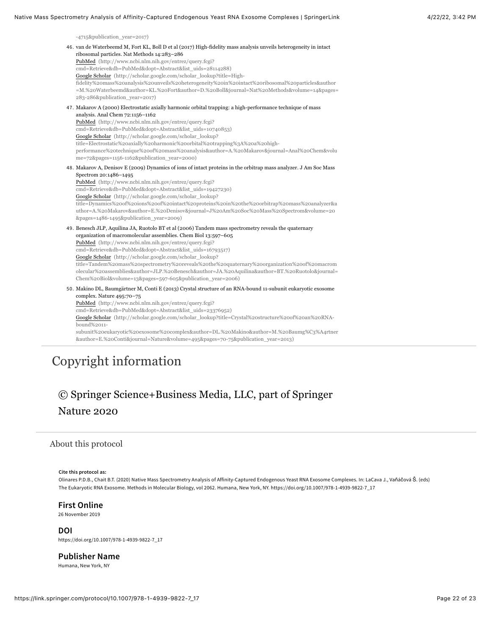<span id="page-21-2"></span>[-4715&publication\\_year=2017\)](http://scholar.google.com/scholar_lookup?title=Triple-stage%20mass%20spectrometry%20unravels%20the%20heterogeneity%20of%20an%20endogenous%20protein%20complex&author=G.%20Ben-Nissan&author=ME.%20Belov&author=D.%20Morgenstern&journal=Anal%20Chem&volume=89&pages=4708-4715&publication_year=2017)

<span id="page-21-4"></span><span id="page-21-3"></span>

| 46. van de Waterbeemd M, Fort KL, Boll D et al (2017) High-fidelity mass analysis unveils heterogeneity in intact<br>ribosomal particles. Nat Methods 14:283-286<br>PubMed (http://www.ncbi.nlm.nih.gov/entrez/query.fcgi?<br>cmd=Retrieve&db=PubMed&dopt=Abstract&list_uids=28114288)<br>Google Scholar (http://scholar.google.com/scholar_lookup?title=High-<br>fidelity%20mass%20analysis%20unveils%20heterogeneity%20in%20intact%20ribosomal%20particles&author<br>=M.%20Waterbeemd&author=KL.%20Fort&author=D.%20Boll&journal=Nat%20Methods&volume=14&pages=<br>283-286&publication_year=2017)                          |
|------------------------------------------------------------------------------------------------------------------------------------------------------------------------------------------------------------------------------------------------------------------------------------------------------------------------------------------------------------------------------------------------------------------------------------------------------------------------------------------------------------------------------------------------------------------------------------------------------------------------------|
| 47. Makarov A (2000) Electrostatic axially harmonic orbital trapping: a high-performance technique of mass<br>analysis. Anal Chem 72:1156-1162<br>PubMed (http://www.ncbi.nlm.nih.gov/entrez/query.fcgi?<br>cmd=Retrieve&db=PubMed&dopt=Abstract&list_uids=10740853)<br>Google Scholar (http://scholar.google.com/scholar_lookup?<br>title=Electrostatic%20axially%20harmonic%20orbital%20trapping%3A%20a%20high-<br>performance%20technique%20of%20mass%20analysis&author=A.%20Makarov&journal=Anal%20Chem&volu<br>me=72&pages=1156-1162&publication_year=2000)                                                             |
| 48. Makarov A, Denisov E (2009) Dynamics of ions of intact proteins in the orbitrap mass analyzer. J Am Soc Mass<br>Spectrom 20:1486-1495<br>PubMed (http://www.ncbi.nlm.nih.gov/entrez/query.fcgi?<br>cmd=Retrieve&db=PubMed&dopt=Abstract&list_uids=19427230)<br>Google Scholar (http://scholar.google.com/scholar_lookup?<br>title=Dynamics%20of%20ions%20of%20intact%20proteins%20in%20the%20orbitrap%20mass%20analyzer&a<br>uthor=A.%20Makarov&author=E.%20Denisov&journal=J%20Am%20Soc%20Mass%20Spectrom&volume=20<br>&pages=1486-1495&publication_year=2009)                                                          |
| 49. Benesch JLP, Aquilina JA, Ruotolo BT et al (2006) Tandem mass spectrometry reveals the quaternary<br>organization of macromolecular assemblies. Chem Biol 13:597-605<br>PubMed (http://www.ncbi.nlm.nih.gov/entrez/query.fcgi?<br>cmd=Retrieve&db=PubMed&dopt=Abstract&list_uids=16793517)<br>Google Scholar (http://scholar.google.com/scholar_lookup?<br>title=Tandem%20mass%20spectrometry%20reveals%20the%20quaternary%20organization%20of%20macrom<br>olecular%20assemblies&author=JLP.%20Benesch&author=JA.%20Aquilina&author=BT.%20Ruotolo&journal=<br>Chem%20Biol&volume=13&pages=597-605&publication_year=2006) |
| 50. Makino DL, Baumgärtner M, Conti E (2013) Crystal structure of an RNA-bound 11-subunit eukaryotic exosome<br>complex. Nature 495:70-75<br>PubMed (http://www.ncbi.nlm.nih.gov/entrez/query.fcgi?<br>cmd=Retrieve&db=PubMed&dopt=Abstract&list_uids=23376952)<br>Google Scholar (http://scholar.google.com/scholar_lookup?title=Crystal%20structure%20of%20an%20RNA-<br>bound%2011-<br>subunit%20eukaryotic%20exosome%20complex&author=DL.%20Makino&author=M.%20Baumg%C3%A4rtner<br>&author=E.%20Conti&journal=Nature&volume=495&pages=70-75&publication year=2013)                                                        |
|                                                                                                                                                                                                                                                                                                                                                                                                                                                                                                                                                                                                                              |

# <span id="page-21-5"></span><span id="page-21-1"></span>Copyright information

# © Springer Science+Business Media, LLC, part of Springer Nature 2020

### About this protocol

#### <span id="page-21-0"></span>**Cite this protocol as:**

Olinares P.D.B., Chait B.T. (2020) Native Mass Spectrometry Analysis of Affinity-Captured Endogenous Yeast RNA Exosome Complexes. In: LaCava J., Vaňáčová Š. (eds) The Eukaryotic RNA Exosome. Methods in Molecular Biology, vol 2062. Humana, New York, NY. https://doi.org/10.1007/978-1-4939-9822-7\_17

#### **First Online**

26 November 2019

#### **DOI** https://doi.org/10.1007/978-1-4939-9822-7\_17

**Publisher Name**

Humana, New York, NY